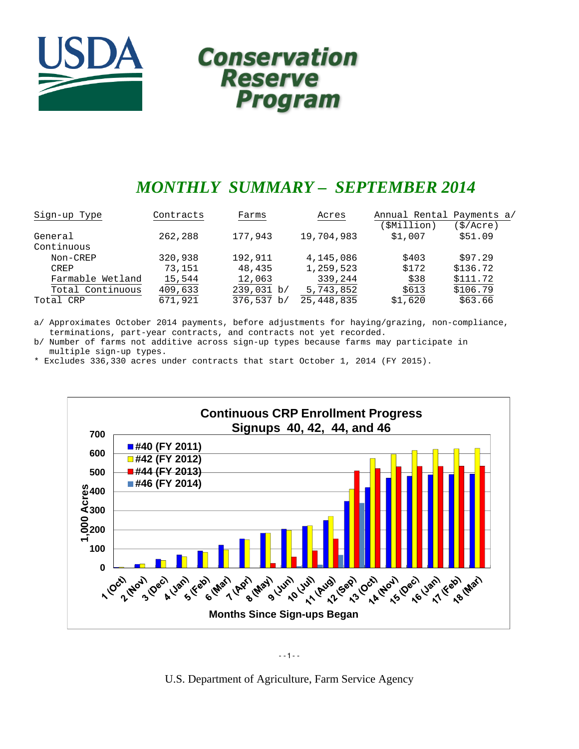

# **Conservation Reserve Program**

# *MONTHLY SUMMARY – SEPTEMBER 2014*

| Sign-up Type     | Contracts | Farms      | Acres        | Annual Rental Payments a/ |           |
|------------------|-----------|------------|--------------|---------------------------|-----------|
|                  |           |            |              | SMillion)                 | (\$/Acre) |
| General          | 262,288   | 177,943    | 19,704,983   | \$1,007                   | \$51.09   |
| Continuous       |           |            |              |                           |           |
| Non-CREP         | 320,938   | 192,911    | 4,145,086    | \$403                     | \$97.29   |
| CREP             | 73,151    | 48,435     | 1,259,523    | \$172                     | \$136.72  |
| Farmable Wetland | 15,544    | 12,063     | 339,244      | \$38                      | \$111.72  |
| Total Continuous | 409,633   | 239,031 b/ | 5,743,852    | \$613                     | \$106.79  |
| Total CRP        | 671,921   | 376,537 b/ | 25, 448, 835 | \$1,620                   | \$63.66   |

a/ Approximates October 2014 payments, before adjustments for haying/grazing, non-compliance, terminations, part-year contracts, and contracts not yet recorded.

b/ Number of farms not additive across sign-up types because farms may participate in multiple sign-up types.

\* Excludes 336,330 acres under contracts that start October 1, 2014 (FY 2015).



--1--

U.S. Department of Agriculture, Farm Service Agency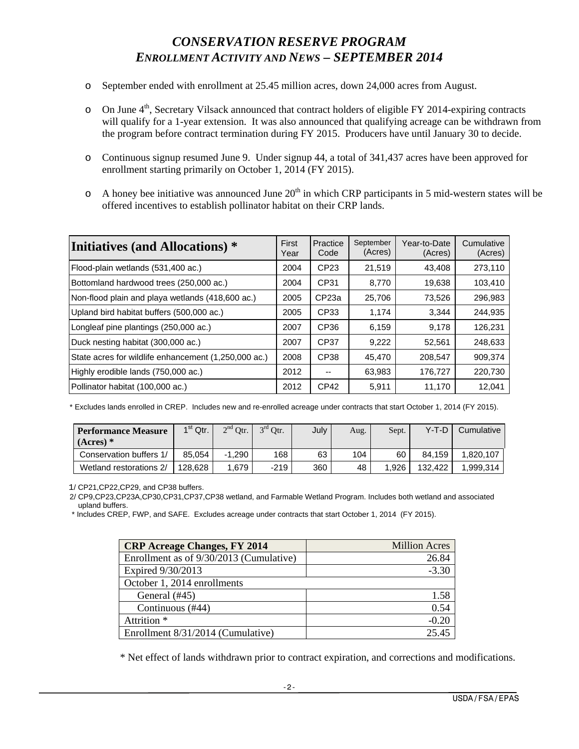# *CONSERVATION RESERVE PROGRAM ENROLLMENT ACTIVITY AND NEWS – SEPTEMBER 2014*

- o September ended with enrollment at 25.45 million acres, down 24,000 acres from August.
- o On June 4<sup>th</sup>, Secretary Vilsack announced that contract holders of eligible FY 2014-expiring contracts will qualify for a 1-year extension. It was also announced that qualifying acreage can be withdrawn from the program before contract termination during FY 2015. Producers have until January 30 to decide.
- o Continuous signup resumed June 9. Under signup 44, a total of 341,437 acres have been approved for enrollment starting primarily on October 1, 2014 (FY 2015).
- $\circ$  A honey bee initiative was announced June 20<sup>th</sup> in which CRP participants in 5 mid-western states will be offered incentives to establish pollinator habitat on their CRP lands.

| Initiatives (and Allocations) *                      | First<br>Year | Practice<br>Code  | September<br>(Acres) | Year-to-Date<br>(Acres) | Cumulative<br>(Acres) |
|------------------------------------------------------|---------------|-------------------|----------------------|-------------------------|-----------------------|
| Flood-plain wetlands (531,400 ac.)                   | 2004          | CP <sub>23</sub>  | 21,519               | 43.408                  | 273,110               |
| Bottomland hardwood trees (250,000 ac.)              | 2004          | CP31              | 8.770                | 19,638                  | 103,410               |
| Non-flood plain and playa wetlands (418,600 ac.)     | 2005          | CP <sub>23a</sub> | 25,706               | 73,526                  | 296,983               |
| Upland bird habitat buffers (500,000 ac.)            | 2005          | CP33              | 1,174                | 3.344                   | 244,935               |
| Longleaf pine plantings (250,000 ac.)                | 2007          | CP <sub>36</sub>  | 6,159                | 9.178                   | 126,231               |
| Duck nesting habitat (300,000 ac.)                   | 2007          | CP37              | 9,222                | 52,561                  | 248,633               |
| State acres for wildlife enhancement (1,250,000 ac.) | 2008          | CP38              | 45,470               | 208,547                 | 909.374               |
| Highly erodible lands (750,000 ac.)                  | 2012          | --                | 63,983               | 176,727                 | 220,730               |
| Pollinator habitat (100,000 ac.)                     | 2012          | CP <sub>42</sub>  | 5,911                | 11,170                  | 12.041                |

\* Excludes lands enrolled in CREP. Includes new and re-enrolled acreage under contracts that start October 1, 2014 (FY 2015).

| <b>Performance Measure</b><br>$(Acres)$ * | $1st$ Qtr. | $2^{nd}$ Otr. | $3rd$ Otr. | July | Aug. | Sept. | Y-T-D   | Cumulative |
|-------------------------------------------|------------|---------------|------------|------|------|-------|---------|------------|
| Conservation buffers 1/                   | 85.054     | $-1.290$      | 168        | 63   | 104  | 60    | 84.159  | 1.820.107  |
| Wetland restorations 2/                   | 128.628    | 1.679         | $-219$     | 360  | 48   | 1.926 | 132.422 | 1.999.314  |

1/ CP21,CP22,CP29, and CP38 buffers.

 2/ CP9,CP23,CP23A,CP30,CP31,CP37,CP38 wetland, and Farmable Wetland Program. Includes both wetland and associated upland buffers.

\* Includes CREP, FWP, and SAFE. Excludes acreage under contracts that start October 1, 2014 (FY 2015).

| <b>CRP</b> Acreage Changes, FY 2014     | <b>Million Acres</b> |
|-----------------------------------------|----------------------|
| Enrollment as of 9/30/2013 (Cumulative) | 26.84                |
| Expired 9/30/2013                       | $-3.30$              |
| October 1, 2014 enrollments             |                      |
| General (#45)                           | 1.58                 |
| Continuous (#44)                        | 0.54                 |
| Attrition <sup>*</sup>                  | $-0.20$              |
| Enrollment 8/31/2014 (Cumulative)       | 25.45                |

\* Net effect of lands withdrawn prior to contract expiration, and corrections and modifications.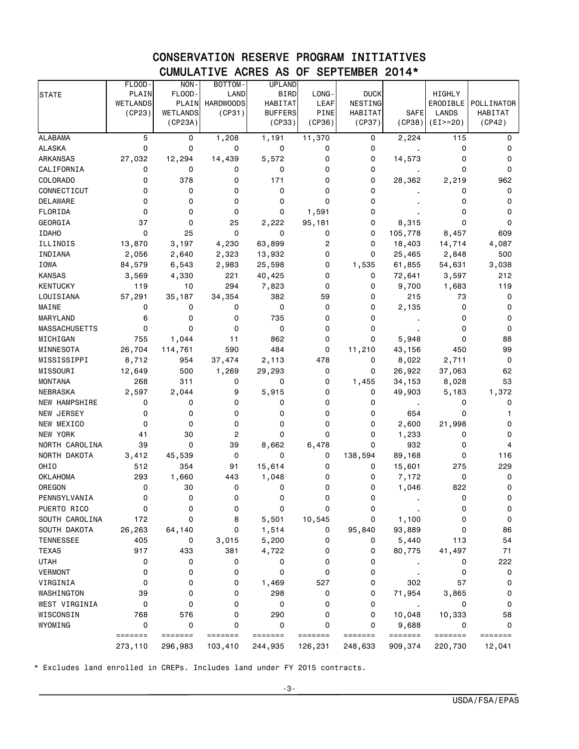## CONSERVATION RESERVE PROGRAM INITIATIVES CUMULATIVE ACRES AS OF SEPTEMBER 2014\*

|                         | FLOOD-                      | NON-            | BOTTOM-          | <b>UPLAND</b>  |                |             |                  |                 |            |
|-------------------------|-----------------------------|-----------------|------------------|----------------|----------------|-------------|------------------|-----------------|------------|
| <b>STATE</b>            | PLAIN                       | FLOOD-          | LAND             | <b>BIRD</b>    | LONG-          | <b>DUCK</b> |                  | HIGHLY          |            |
|                         | <b>WETLANDS</b>             | PLAIN           | <b>HARDWOODS</b> | <b>HABITAT</b> | <b>LEAF</b>    | NESTING     |                  | ERODIBLE        | POLLINATOR |
|                         | (CP23)                      | <b>WETLANDS</b> | (CP31)           | <b>BUFFERS</b> | <b>PINE</b>    | HABITAT     | SAFE             | LANDS           | HABITAT    |
|                         |                             | (CP23A)         |                  | (CP33)         | (CP36)         | (CP37)      | (CP38)           | $(EI>=20)$      | (CP42)     |
| <b>ALABAMA</b>          | 5                           | 0               | 1,208            | 1,191          | 11,370         | 0           | 2,224            | 115             | 0          |
| <b>ALASKA</b>           | 0                           | 0               | 0                | 0              | 0              | 0           |                  | 0               | 0          |
| ARKANSAS                | 27,032                      | 12,294          | 14,439           | 5,572          | 0              | 0           | 14,573           | 0               | 0          |
| CALIFORNIA              | 0                           | 0               | 0                | 0              | 0              | 0           |                  | 0               | 0          |
| <b>COLORADO</b>         | 0                           | 378             | 0                | 171            | 0              | 0           | 28,362           | 2,219           | 962        |
| CONNECTICUT             | 0                           | 0               | 0                | 0              | 0              | 0           |                  | 0               | 0          |
| <b>DELAWARE</b>         | 0                           | 0               | 0                | 0              | $\Omega$       | 0           |                  | 0               | 0          |
| FLORIDA                 | 0                           | 0               | 0                | 0              | 1,591          | 0           |                  | 0               | 0          |
| GEORGIA                 | 37                          | 0               | 25               | 2,222          | 95,181         | 0           | 8,315            | 0               | 0          |
| <b>IDAHO</b>            | 0                           | 25              | $\Omega$         | 0              | 0              | 0           | 105,778          | 8,457           | 609        |
| ILLINOIS                | 13,870                      | 3,197           | 4,230            | 63,899         | $\overline{c}$ | 0           | 18,403           | 14,714          | 4,087      |
| INDIANA                 | 2,056                       | 2,640           | 2,323            | 13,932         | 0              | 0           | 25,465           | 2,848           | 500        |
| IOWA                    | 84,579                      | 6,543           | 2,983            | 25,598         | 0              | 1,535       | 61,855           | 54,631          | 3,038      |
| <b>KANSAS</b>           | 3,569                       | 4,330           | 221              | 40,425         | 0              | 0           | 72,641           | 3,597           | 212        |
| <b>KENTUCKY</b>         | 119                         | 10              | 294              | 7,823          | 0              | 0           | 9,700            | 1,683           | 119        |
| LOUISIANA               | 57,291                      | 35,187          | 34,354           | 382            | 59             | 0           | 215              | 73              | 0          |
| MAINE                   | 0                           | 0               | 0                | 0              | 0              | 0           | 2,135            | 0               | 0          |
| MARYLAND                | 6                           | 0               | 0                | 735            | 0              | 0           |                  | 0               | 0          |
| MASSACHUSETTS           | 0                           | 0               | 0                | 0              | 0              | 0           |                  | 0               | 0          |
| MICHIGAN                | 755                         | 1,044           | 11               | 862            | 0              | 0           | 5,948            | 0               | 88         |
| MINNESOTA               | 26,704                      | 114,761         | 590              | 484            | 0              | 11,210<br>0 | 43,156           | 450             | 99<br>0    |
| MISSISSIPPI<br>MISSOURI | 8,712                       | 954<br>500      | 37,474           | 2,113          | 478<br>0       | 0           | 8,022<br>26,922  | 2,711           | 62         |
| <b>MONTANA</b>          | 12,649<br>268               | 311             | 1,269<br>0       | 29,293<br>0    | 0              | 1,455       | 34,153           | 37,063<br>8,028 | 53         |
| NEBRASKA                | 2,597                       | 2,044           | 9                | 5,915          | 0              | 0           | 49,903           | 5,183           | 1,372      |
| <b>NEW HAMPSHIRE</b>    | 0                           | 0               | 0                | 0              | 0              | 0           |                  | 0               | 0          |
| NEW JERSEY              | 0                           | 0               | 0                | 0              | 0              | 0           | $\bullet$<br>654 | 0               | 1          |
| NEW MEXICO              | 0                           | 0               | 0                | 0              | 0              | 0           | 2,600            | 21,998          | 0          |
| NEW YORK                | 41                          | 30              | $\overline{c}$   | 0              | 0              | 0           | 1,233            | 0               | 0          |
| NORTH CAROLINA          | 39                          | $\mathbf 0$     | 39               | 8,662          | 6,478          | 0           | 932              | 0               | 4          |
| NORTH DAKOTA            | 3,412                       | 45,539          | 0                | 0              | 0              | 138,594     | 89,168           | 0               | 116        |
| OHIO                    | 512                         | 354             | 91               | 15,614         | 0              | 0           | 15,601           | 275             | 229        |
| <b>OKLAHOMA</b>         | 293                         | 1,660           | 443              | 1,048          | 0              | 0           | 7,172            | 0               | 0          |
| OREGON                  | 0                           | 30              | 0                | 0              | 0              | 0           | 1,046            | 822             | 0          |
| PENNSYLVANIA            | 0                           | 0               | 0                | 0              | 0              | 0           |                  | 0               | 0          |
| PUERTO RICO             | 0                           | 0               | 0                | 0              | 0              | 0           |                  | 0               | 0          |
| SOUTH CAROLINA          | 172                         | 0               | 8                | 5,501          | 10,545         | 0           | 1,100            | 0               | 0          |
| SOUTH DAKOTA            | 26,263                      | 64,140          | 0                | 1,514          | 0              | 95,840      | 93,889           | 0               | 86         |
| <b>TENNESSEE</b>        | 405                         | 0               | 3,015            | 5,200          | 0              | 0           | 5,440            | 113             | 54         |
| <b>TEXAS</b>            | 917                         | 433             | 381              | 4,722          | 0              | 0           | 80,775           | 41,497          | 71         |
| <b>UTAH</b>             | 0                           | 0               | 0                | 0              | 0              | 0           |                  | 0               | 222        |
| VERMONT                 | 0                           | 0               | 0                | 0              | 0              | 0           |                  | 0               | 0          |
| VIRGINIA                | 0                           | 0               | 0                | 1,469          | 527            | 0           | 302              | 57              | 0          |
| WASHINGTON              | 39                          | 0               | 0                | 298            | 0              | 0           | 71,954           | 3,865           | 0          |
| WEST VIRGINIA           | 0                           | 0               | 0                | 0              | 0              | 0           |                  | 0               | 0          |
| WISCONSIN               | 768                         | 576             | 0                | 290            | 0              | 0           | 10,048           | 10,333          | 58         |
| WYOMING                 | 0                           | 0               | 0                | 0              | 0              | 0           | 9,688            | 0               | 0          |
|                         | $=$ $=$ $=$ $=$ $=$ $=$ $=$ | =======         | =======          | =======        | =======        | =======     | =======          | =======         | =======    |
|                         | 273,110                     | 296,983         | 103,410          | 244,935        | 126,231        | 248,633     | 909,374          | 220,730         | 12,041     |

\* Excludes land enrolled in CREPs. Includes land under FY 2015 contracts.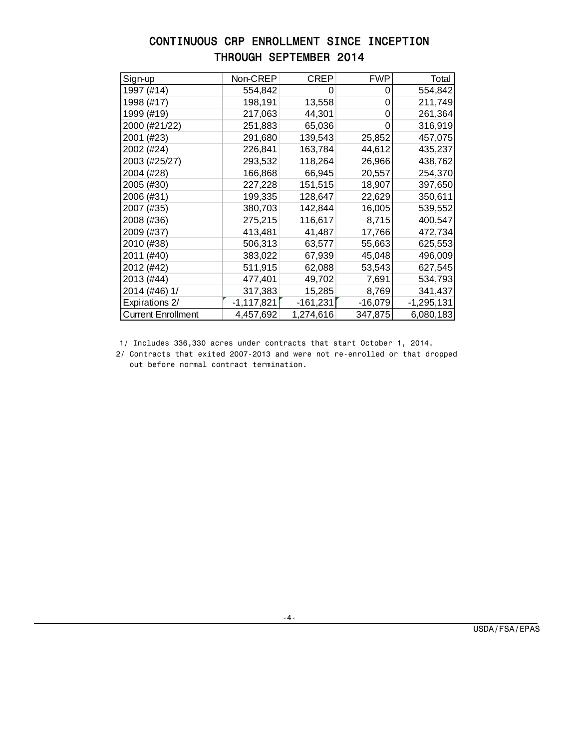# CONTINUOUS CRP ENROLLMENT SINCE INCEPTION THROUGH SEPTEMBER 2014

| Sign-up                   | Non-CREP     | CREP       | <b>FWP</b> | Total        |
|---------------------------|--------------|------------|------------|--------------|
| 1997 (#14)                | 554,842      | 0          | 0          | 554,842      |
| 1998 (#17)                | 198,191      | 13,558     | O          | 211,749      |
| 1999 (#19)                | 217,063      | 44,301     |            | 261,364      |
| 2000 (#21/22)             | 251,883      | 65,036     | 0          | 316,919      |
| 2001 (#23)                | 291,680      | 139,543    | 25,852     | 457,075      |
| 2002 (#24)                | 226,841      | 163,784    | 44,612     | 435,237      |
| 2003 (#25/27)             | 293,532      | 118,264    | 26,966     | 438,762      |
| 2004 (#28)                | 166,868      | 66,945     | 20,557     | 254,370      |
| 2005 (#30)                | 227,228      | 151,515    | 18,907     | 397,650      |
| 2006 (#31)                | 199,335      | 128,647    | 22,629     | 350,611      |
| 2007 (#35)                | 380,703      | 142,844    | 16,005     | 539,552      |
| 2008 (#36)                | 275,215      | 116,617    | 8,715      | 400,547      |
| 2009 (#37)                | 413,481      | 41,487     | 17,766     | 472,734      |
| 2010 (#38)                | 506,313      | 63,577     | 55,663     | 625,553      |
| 2011 (#40)                | 383,022      | 67,939     | 45,048     | 496,009      |
| 2012 (#42)                | 511,915      | 62,088     | 53,543     | 627,545      |
| 2013 (#44)                | 477,401      | 49,702     | 7,691      | 534,793      |
| 2014 (#46) 1/             | 317,383      | 15,285     | 8,769      | 341,437      |
| Expirations 2/            | $-1,117,821$ | $-161,231$ | $-16,079$  | $-1,295,131$ |
| <b>Current Enrollment</b> | 4,457,692    | 1,274,616  | 347,875    | 6,080,183    |

1/ Includes 336,330 acres under contracts that start October 1, 2014.

 2/ Contracts that exited 2007-2013 and were not re-enrolled or that dropped out before normal contract termination.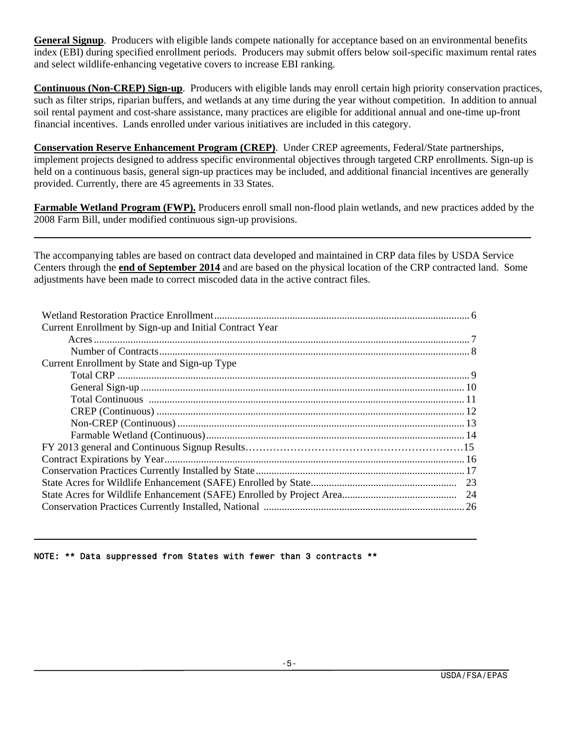**General Signup**. Producers with eligible lands compete nationally for acceptance based on an environmental benefits index (EBI) during specified enrollment periods. Producers may submit offers below soil-specific maximum rental rates and select wildlife-enhancing vegetative covers to increase EBI ranking.

**Continuous (Non-CREP) Sign-up**. Producers with eligible lands may enroll certain high priority conservation practices, such as filter strips, riparian buffers, and wetlands at any time during the year without competition. In addition to annual soil rental payment and cost-share assistance, many practices are eligible for additional annual and one-time up-front financial incentives. Lands enrolled under various initiatives are included in this category.

**Conservation Reserve Enhancement Program (CREP)**. Under CREP agreements, Federal/State partnerships, implement projects designed to address specific environmental objectives through targeted CRP enrollments. Sign-up is held on a continuous basis, general sign-up practices may be included, and additional financial incentives are generally provided. Currently, there are 45 agreements in 33 States.

**Farmable Wetland Program (FWP).** Producers enroll small non-flood plain wetlands, and new practices added by the 2008 Farm Bill, under modified continuous sign-up provisions.

The accompanying tables are based on contract data developed and maintained in CRP data files by USDA Service Centers through the **end of September 2014** and are based on the physical location of the CRP contracted land. Some adjustments have been made to correct miscoded data in the active contract files.

| Current Enrollment by Sign-up and Initial Contract Year |  |
|---------------------------------------------------------|--|
|                                                         |  |
|                                                         |  |
| Current Enrollment by State and Sign-up Type            |  |
|                                                         |  |
|                                                         |  |
|                                                         |  |
|                                                         |  |
|                                                         |  |
|                                                         |  |
|                                                         |  |
|                                                         |  |
|                                                         |  |
|                                                         |  |
|                                                         |  |
|                                                         |  |
|                                                         |  |

#### NOTE: \*\* Data suppressed from States with fewer than 3 contracts \*\*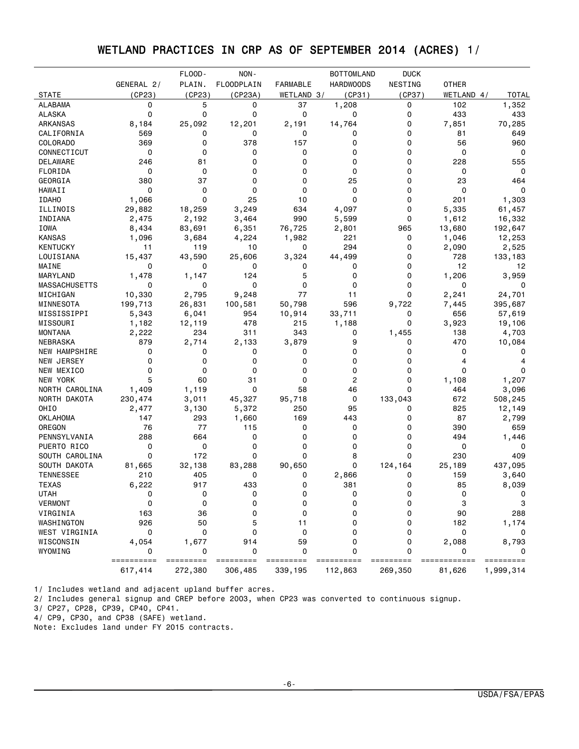# WETLAND PRACTICES IN CRP AS OF SEPTEMBER 2014 (ACRES) 1/

|                      |            | FLOOD-         | NON-                     |                 | <b>BOTTOMLAND</b> | <b>DUCK</b> |              |            |
|----------------------|------------|----------------|--------------------------|-----------------|-------------------|-------------|--------------|------------|
|                      | GENERAL 2/ | PLAIN.         | <b>FLOODPLAIN</b>        | <b>FARMABLE</b> | <b>HARDWOODS</b>  | NESTING     | <b>OTHER</b> |            |
| <b>STATE</b>         | (CP23)     | (CP23)         | (CP23A)                  | WETLAND 3/      | (CP31)            | (CP37)      | WETLAND 4/   | TOTAL      |
| <b>ALABAMA</b>       | 0          | 5              | 0                        | 37              | 1,208             | 0           | 102          | 1,352      |
| <b>ALASKA</b>        | $\Omega$   | 0              | 0                        | 0               | 0                 | 0           | 433          | 433        |
| ARKANSAS             | 8,184      | 25,092         | 12,201                   | 2,191           | 14,764            | 0           | 7,851        | 70,285     |
| CALIFORNIA           | 569        | 0              | 0                        | 0               | 0                 | 0           | 81           | 649        |
| COLORADO             | 369        | $\Omega$       | 378                      | 157             | 0                 | 0           | 56           | 960        |
| CONNECTICUT          | 0          | 0              | 0                        | 0               | 0                 | 0           | 0            | 0          |
| DELAWARE             | 246        | 81             | 0                        | 0               | 0                 | 0           | 228          | 555        |
| FLORIDA              | 0          | $\mathbf 0$    | 0                        | 0               | 0                 | 0           | 0            | 0          |
| GEORGIA              | 380        | 37             | 0                        | 0               | 25                | 0           | 23           | 464        |
| HAWAII               | 0          | 0              | 0                        | 0               | 0                 | 0           | 0            | 0          |
| <b>IDAHO</b>         | 1,066      | $\Omega$       | 25                       | 10              | 0                 | 0           | 201          | 1,303      |
| ILLINOIS             | 29,882     | 18,259         | 3,249                    | 634             | 4,097             | 0           | 5,335        | 61,457     |
| INDIANA              | 2,475      | 2,192          | 3,464                    | 990             | 5,599             | 0           | 1,612        | 16,332     |
| IOWA                 | 8,434      | 83,691         | 6,351                    | 76,725          | 2,801             | 965         | 13,680       | 192,647    |
| <b>KANSAS</b>        | 1,096      | 3,684          | 4,224                    | 1,982           | 221               | 0           | 1,046        | 12,253     |
| <b>KENTUCKY</b>      | 11         | 119            | 10                       | 0               | 294               | 0           | 2,090        | 2,525      |
| LOUISIANA            | 15,437     | 43,590         | 25,606                   | 3,324           | 44,499            | 0           | 728          | 133,183    |
| MAINE                | 0          | 0              | 0                        | 0               | 0                 | 0           | 12           | 12         |
| MARYLAND             | 1,478      | 1,147          | 124                      | 5               | 0                 | 0           | 1,206        | 3,959      |
| <b>MASSACHUSETTS</b> | 0          | 0              | 0                        | 0               | 0                 | 0           | 0            | 0          |
| MICHIGAN             | 10,330     | 2,795          | 9,248                    | 77              | 11                | 0           | 2,241        | 24,701     |
| MINNESOTA            | 199,713    | 26,831         | 100,581                  | 50,798          | 596               | 9,722       | 7,445        | 395,687    |
| MISSISSIPPI          | 5,343      | 6,041          | 954                      | 10,914          | 33,711            | 0           | 656          | 57,619     |
| MISSOURI             | 1,182      | 12,119         | 478                      | 215             | 1,188             | 0           | 3,923        | 19,106     |
| <b>MONTANA</b>       | 2,222      | 234            | 311                      | 343             | 0                 | 1,455       | 138          | 4,703      |
| NEBRASKA             | 879        | 2,714          | 2,133                    | 3,879           | 9                 | 0           | 470          | 10,084     |
| NEW HAMPSHIRE        | 0          | 0              | 0                        | 0               | 0                 | 0           | 0            | 0          |
| NEW JERSEY           | $\Omega$   | 0              | 0                        | 0               | 0                 | 0           | 4            | 4          |
| NEW MEXICO           | 0          | 0              | 0                        | 0               | 0                 | 0           | $\Omega$     | 0          |
| NEW YORK             | 5          | 60             | 31                       | 0               | 2                 | 0           | 1,108        | 1,207      |
| NORTH CAROLINA       | 1,409      | 1,119          | 0                        | 58              | 46                | 0           | 464          | 3,096      |
| NORTH DAKOTA         | 230,474    | 3,011          | 45,327                   | 95,718          | 0                 | 133,043     | 672          | 508,245    |
| OHIO                 | 2,477      | 3,130          | 5,372                    | 250             | 95                | 0           | 825          | 12,149     |
| <b>OKLAHOMA</b>      | 147        | 293            | 1,660                    | 169             | 443               | 0           | 87           | 2,799      |
| OREGON               | 76         | 77             | 115                      | 0               | 0                 | 0           | 390          | 659        |
| PENNSYLVANIA         | 288        | 664            | 0                        | 0               | 0                 | 0           | 494          |            |
| PUERTO RICO          | 0          | 0              | 0                        | 0               | 0                 | 0           | 0            | 1,446<br>0 |
|                      | 0          | 172            | 0                        | 0               | 8                 | 0           | 230          | 409        |
| SOUTH CAROLINA       |            |                |                          |                 |                   |             |              |            |
| SOUTH DAKOTA         | 81,665     | 32,138         | 83,288                   | 90,650          | 0                 | 124,164     | 25,189       | 437,095    |
| <b>TENNESSEE</b>     | 210        | 405            | 0                        | 0               | 2,866             | 0           | 159          | 3,640      |
| <b>TEXAS</b>         | 6,222      | 917            | 433                      | $\Omega$        | 381               | 0           | 85           | 8,039      |
| <b>UTAH</b>          | 0          | 0              | 0                        | 0               | 0                 | 0           | 0            | 0          |
| VERMONT              | 0          | 0              | 0                        | 0               | 0                 | 0           | 3            | 3          |
| VIRGINIA             | 163        | 36             | 0                        | 0               | 0                 | 0           | 90           | 288        |
| WASHINGTON           | 926        | 50             | 5                        | 11              | 0                 | 0           | 182          | 1,174      |
| WEST VIRGINIA        | 0          | $\mathbf 0$    | 0                        | 0               | 0                 | 0           | 0            | 0          |
| WISCONSIN            | 4,054      | 1,677          | 914                      | 59              | 0                 | 0           | 2,088        | 8,793      |
| WYOMING              | ========== | 0<br>========= | 0<br>$=$ = = = = = = = = | 0<br>=========  | 0                 | 0           | 0<br>======  | =========  |
|                      | 617,414    | 272,380        | 306,485                  | 339,195         | 112,863           | 269,350     | 81,626       | 1,999,314  |

1/ Includes wetland and adjacent upland buffer acres.

2/ Includes general signup and CREP before 2003, when CP23 was converted to continuous signup.

3/ CP27, CP28, CP39, CP40, CP41.

4/ CP9, CP30, and CP38 (SAFE) wetland.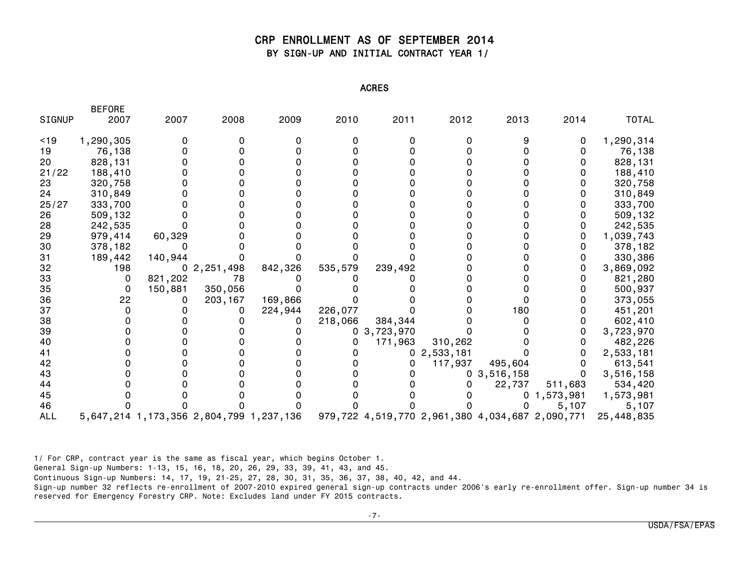## CRP ENROLLMENT AS OF SEPTEMBER 2014 BY SIGN-UP AND INITIAL CONTRACT YEAR 1/

ACRES

|               | DLI VNL   |         |                                         |         |         |           |           |                                                 |           |              |
|---------------|-----------|---------|-----------------------------------------|---------|---------|-----------|-----------|-------------------------------------------------|-----------|--------------|
| <b>SIGNUP</b> | 2007      | 2007    | 2008                                    | 2009    | 2010    | 2011      | 2012      | 2013                                            | 2014      | <b>TOTAL</b> |
| < 19          | 1,290,305 |         |                                         |         |         |           |           |                                                 |           | 1,290,314    |
| 19            | 76,138    |         |                                         |         |         |           |           |                                                 |           | 76,138       |
| 20            | 828,131   |         |                                         |         |         |           |           |                                                 |           | 828,131      |
| 21/22         | 188,410   |         |                                         |         |         |           |           |                                                 |           | 188,410      |
| 23            | 320,758   |         |                                         |         |         |           |           |                                                 |           | 320,758      |
| 24            | 310,849   |         |                                         |         |         |           |           |                                                 |           | 310,849      |
| 25/27         | 333,700   |         |                                         |         |         |           |           |                                                 |           | 333,700      |
| 26            | 509,132   |         |                                         |         |         |           |           |                                                 |           | 509,132      |
| 28            | 242,535   |         |                                         |         |         |           |           |                                                 |           | 242,535      |
| 29            | 979,414   | 60,329  |                                         |         |         |           |           |                                                 |           | 1,039,743    |
| 30            | 378,182   |         |                                         |         |         |           |           |                                                 |           | 378,182      |
| 31            | 189,442   | 140,944 |                                         |         |         |           |           |                                                 |           | 330,386      |
| 32            | 198       |         | 2,251,498                               | 842,326 | 535,579 | 239,492   |           |                                                 |           | 3,869,092    |
| 33            | 0         | 821,202 | 78                                      |         |         |           |           |                                                 |           | 821,280      |
| 35            | 0         | 150,881 | 350,056                                 |         |         |           |           |                                                 |           | 500,937      |
| 36            | 22        |         | 203,167                                 | 169,866 |         |           |           |                                                 |           | 373,055      |
| 37            |           |         |                                         | 224,944 | 226,077 |           |           | 180                                             |           | 451,201      |
| 38            |           |         |                                         |         | 218,066 | 384,344   |           |                                                 |           | 602,410      |
| 39            |           |         |                                         |         | 0       | 3,723,970 |           |                                                 |           | 3,723,970    |
| 40            |           |         |                                         |         |         | 171,963   | 310,262   |                                                 |           | 482,226      |
| 41            |           |         |                                         |         |         | 0         | 2,533,181 |                                                 |           | 2,533,181    |
| 42            |           |         |                                         |         |         | 0         | 117,937   | 495,604                                         |           | 613,541      |
| 43            |           |         |                                         |         |         |           |           | 0, 3, 516, 158                                  |           | 3,516,158    |
| 44            |           |         |                                         |         |         |           |           | 22,737                                          | 511,683   | 534,420      |
| 45            |           |         |                                         |         |         |           |           |                                                 | 1,573,981 | 1,573,981    |
| 46            |           |         |                                         |         |         |           |           |                                                 | 5,107     | 5,107        |
| <b>ALL</b>    |           |         | 5,647,214 1,173,356 2,804,799 1,237,136 |         |         |           |           | 979,722 4,519,770 2,961,380 4,034,687 2,090,771 |           | 25,448,835   |

1/ For CRP, contract year is the same as fiscal year, which begins October 1.

BEFORE

General Sign-up Numbers: 1-13, 15, 16, 18, 20, 26, 29, 33, 39, 41, 43, and 45.

Continuous Sign-up Numbers: 14, 17, 19, 21-25, 27, 28, 30, 31, 35, 36, 37, 38, 40, 42, and 44.

Sign-up number 32 reflects re-enrollment of 2007-2010 expired general sign-up contracts under 2006's early re-enrollment offer. Sign-up number 34 is reserved for Emergency Forestry CRP. Note: Excludes land under FY 2015 contracts.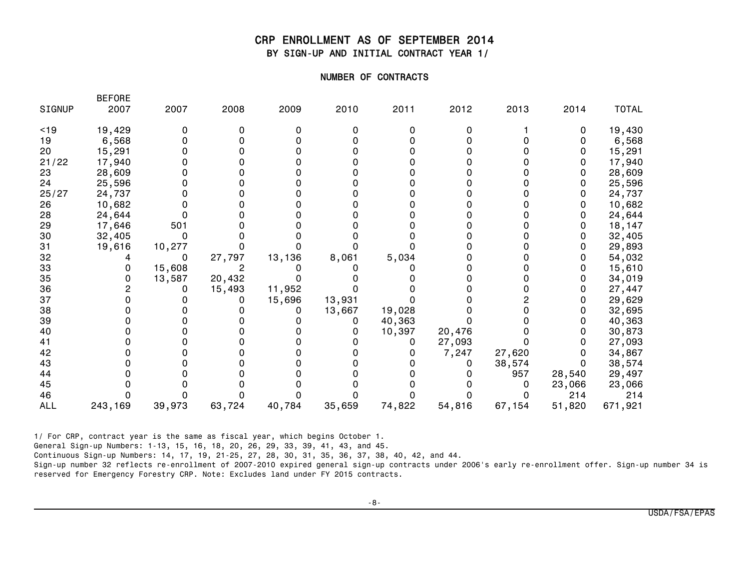## CRP ENROLLMENT AS OF SEPTEMBER 2014 BY SIGN-UP AND INITIAL CONTRACT YEAR 1/

#### NUMBER OF CONTRACTS

| <b>SIGNUP</b> | 2007    | 2007   | 2008   | 2009   | 2010   | 2011   | 2012   | 2013   | 2014   | <b>TOTAL</b> |
|---------------|---------|--------|--------|--------|--------|--------|--------|--------|--------|--------------|
| < 19          | 19,429  |        |        |        |        |        |        |        |        | 19,430       |
| 19            | 6,568   |        |        |        |        |        |        |        |        | 6,568        |
| 20            | 15,291  |        |        |        |        |        |        |        |        | 15,291       |
| 21/22         | 17,940  |        |        |        |        |        |        |        |        | 17,940       |
| 23            | 28,609  |        |        |        |        |        |        |        |        | 28,609       |
| 24            | 25,596  |        |        |        |        |        |        |        |        | 25,596       |
| 25/27         | 24,737  |        |        |        |        |        |        |        |        | 24,737       |
| 26            | 10,682  |        |        |        |        |        |        |        |        | 10,682       |
| 28            | 24,644  |        |        |        |        |        |        |        |        | 24,644       |
| 29            | 17,646  | 501    |        |        |        |        |        |        |        | 18,147       |
| 30            | 32,405  |        |        |        |        |        |        |        |        | 32,405       |
| 31            | 19,616  | 10,277 |        |        |        |        |        |        |        | 29,893       |
| 32            |         | 0      | 27,797 | 13,136 | 8,061  | 5,034  |        |        |        | 54,032       |
| 33            |         | 15,608 |        |        |        |        |        |        |        | 15,610       |
| 35            |         | 13,587 | 20,432 |        |        |        |        |        |        | 34,019       |
| 36            |         |        | 15,493 | 11,952 |        |        |        |        |        | 27,447       |
| 37            |         |        |        | 15,696 | 13,931 |        |        |        |        | 29,629       |
| 38            |         |        |        |        | 13,667 | 19,028 |        |        |        | 32,695       |
| 39            |         |        |        |        |        | 40,363 |        |        |        | 40,363       |
| 40            |         |        |        |        |        | 10,397 | 20,476 |        |        | 30,873       |
| 41            |         |        |        |        |        |        | 27,093 |        |        | 27,093       |
| 42            |         |        |        |        |        |        | 7,247  | 27,620 |        | 34,867       |
| 43            |         |        |        |        |        |        |        | 38,574 |        | 38,574       |
| 44            |         |        |        |        |        |        |        | 957    | 28,540 | 29,497       |
| 45            |         |        |        |        |        |        |        |        | 23,066 | 23,066       |
| 46            |         |        |        |        |        |        |        |        | 214    | 214          |
| <b>ALL</b>    | 243,169 | 39,973 | 63,724 | 40,784 | 35,659 | 74,822 | 54,816 | 67,154 | 51,820 | 671,921      |

1/ For CRP, contract year is the same as fiscal year, which begins October 1.

**BEFORE** 

General Sign-up Numbers: 1-13, 15, 16, 18, 20, 26, 29, 33, 39, 41, 43, and 45.

Continuous Sign-up Numbers: 14, 17, 19, 21-25, 27, 28, 30, 31, 35, 36, 37, 38, 40, 42, and 44.

Sign-up number 32 reflects re-enrollment of 2007-2010 expired general sign-up contracts under 2006's early re-enrollment offer. Sign-up number 34 is reserved for Emergency Forestry CRP. Note: Excludes land under FY 2015 contracts.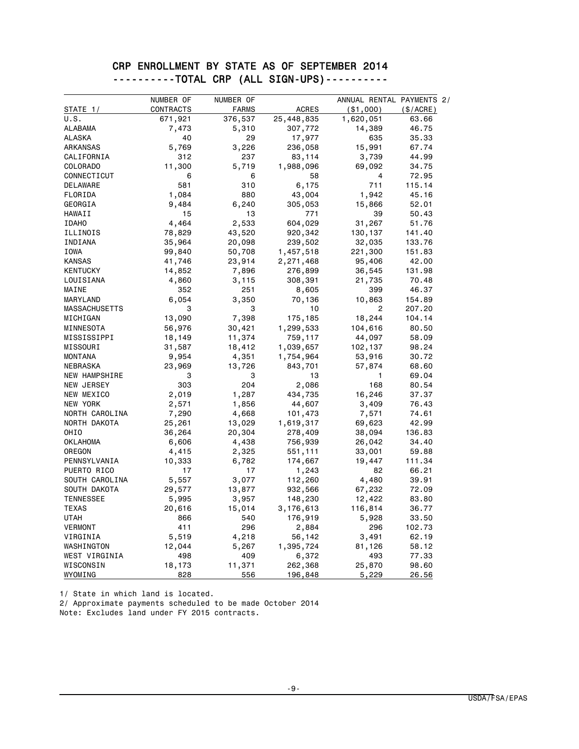## CRP ENROLLMENT BY STATE AS OF SEPTEMBER 2014 ----------TOTAL CRP (ALL SIGN-UPS)----------

|                  | NUMBER OF | NUMBER OF    |              | ANNUAL RENTAL PAYMENTS 2/ |           |
|------------------|-----------|--------------|--------------|---------------------------|-----------|
| STATE 1/         | CONTRACTS | <b>FARMS</b> | <b>ACRES</b> | ( \$1,000)                | (\$/ACRE) |
| U.S.             | 671,921   | 376,537      | 25,448,835   | 1,620,051                 | 63.66     |
| ALABAMA          | 7,473     | 5,310        | 307,772      | 14,389                    | 46.75     |
| ALASKA           | 40        | 29           | 17,977       | 635                       | 35.33     |
| ARKANSAS         | 5,769     | 3,226        | 236,058      | 15,991                    | 67.74     |
| CALIFORNIA       | 312       | 237          | 83,114       | 3,739                     | 44.99     |
| COLORADO         | 11,300    | 5,719        | 1,988,096    | 69,092                    | 34.75     |
| CONNECTICUT      | 6         | 6            | 58           | 4                         | 72.95     |
| DELAWARE         | 581       | 310          | 6,175        | 711                       | 115.14    |
| FLORIDA          | 1,084     | 880          | 43,004       | 1,942                     | 45.16     |
| GEORGIA          | 9,484     | 6,240        | 305,053      | 15,866                    | 52.01     |
| HAWAII           | 15        | 13           | 771          | 39                        | 50.43     |
| <b>IDAHO</b>     | 4,464     | 2,533        | 604,029      | 31,267                    | 51.76     |
| ILLINOIS         | 78,829    | 43,520       | 920,342      | 130,137                   | 141.40    |
| INDIANA          | 35,964    | 20,098       | 239,502      | 32,035                    | 133.76    |
| IOWA             | 99,840    | 50,708       | 1,457,518    | 221,300                   | 151.83    |
| <b>KANSAS</b>    | 41,746    | 23,914       | 2,271,468    | 95,406                    | 42.00     |
| <b>KENTUCKY</b>  | 14,852    | 7,896        | 276,899      | 36,545                    | 131.98    |
| LOUISIANA        | 4,860     | 3,115        | 308,391      | 21,735                    | 70.48     |
| MAINE            | 352       | 251          | 8,605        | 399                       | 46.37     |
| MARYLAND         | 6,054     | 3,350        | 70,136       | 10,863                    | 154.89    |
| MASSACHUSETTS    | 3         | 3            | 10           | 2                         | 207.20    |
| MICHIGAN         | 13,090    | 7,398        | 175,185      | 18,244                    | 104.14    |
| MINNESOTA        | 56,976    | 30,421       | 1,299,533    | 104,616                   | 80.50     |
| MISSISSIPPI      | 18,149    | 11,374       | 759,117      | 44,097                    | 58.09     |
| MISSOURI         | 31,587    | 18,412       | 1,039,657    | 102,137                   | 98.24     |
| <b>MONTANA</b>   | 9,954     | 4,351        | 1,754,964    | 53,916                    | 30.72     |
| NEBRASKA         | 23,969    | 13,726       | 843,701      | 57,874                    | 68.60     |
| NEW HAMPSHIRE    | 3         | 3            | 13           | 1                         | 69.04     |
| NEW JERSEY       | 303       | 204          | 2,086        | 168                       | 80.54     |
| NEW MEXICO       | 2,019     | 1,287        | 434,735      | 16,246                    | 37.37     |
| NEW YORK         | 2,571     | 1,856        | 44,607       | 3,409                     | 76.43     |
| NORTH CAROLINA   | 7,290     | 4,668        | 101,473      | 7,571                     | 74.61     |
| NORTH DAKOTA     | 25,261    | 13,029       | 1,619,317    | 69,623                    | 42.99     |
| <b>OHIO</b>      | 36,264    | 20,304       | 278,409      | 38,094                    | 136.83    |
| <b>OKLAHOMA</b>  | 6,606     | 4,438        | 756,939      | 26,042                    | 34.40     |
| OREGON           | 4,415     | 2,325        | 551,111      | 33,001                    | 59.88     |
| PENNSYLVANIA     | 10,333    | 6,782        | 174,667      | 19,447                    | 111.34    |
| PUERTO RICO      | 17        | 17           | 1,243        | 82                        | 66.21     |
| SOUTH CAROLINA   | 5,557     | 3,077        | 112,260      | 4,480                     | 39.91     |
| SOUTH DAKOTA     | 29,577    | 13,877       | 932,566      | 67,232                    | 72.09     |
| <b>TENNESSEE</b> | 5,995     | 3,957        | 148,230      | 12,422                    | 83.80     |
| <b>TEXAS</b>     | 20,616    | 15,014       | 3,176,613    | 116,814                   | 36.77     |
| UTAH             | 866       | 540          | 176,919      | 5,928                     | 33.50     |
| VERMONT          | 411       | 296          | 2,884        | 296                       | 102.73    |
| VIRGINIA         | 5,519     | 4,218        | 56,142       | 3,491                     | 62.19     |
| WASHINGTON       | 12,044    | 5,267        | 1,395,724    | 81,126                    | 58.12     |
| WEST VIRGINIA    | 498       | 409          | 6,372        | 493                       | 77.33     |
| WISCONSIN        | 18,173    | 11,371       | 262,368      | 25,870                    | 98.60     |
| WYOMING          | 828       | 556          | 196,848      | 5,229                     | 26.56     |

1/ State in which land is located. 2/ Approximate payments scheduled to be made October 2014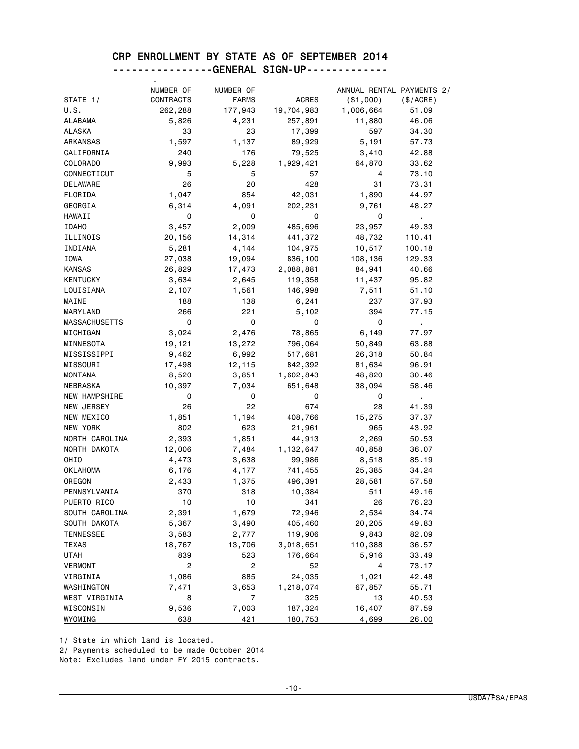#### CRP ENROLLMENT BY STATE AS OF SEPTEMBER 2014 ----------------GENERAL SIGN-UP-------------

|                      | NUMBER OF      | NUMBER OF               |                    | ANNUAL RENTAL PAYMENTS 2/ |                |
|----------------------|----------------|-------------------------|--------------------|---------------------------|----------------|
| STATE 1/<br>U.S.     | CONTRACTS      | <b>FARMS</b>            | <b>ACRES</b>       | ( \$1,000)                | (S/ACRE)       |
|                      | 262,288        | 177,943                 | 19,704,983         | 1,006,664                 | 51.09          |
| ALABAMA              | 5,826          | 4,231                   | 257,891            | 11,880                    | 46.06          |
| <b>ALASKA</b>        | 33             | 23                      | 17,399             | 597                       | 34.30          |
| ARKANSAS             | 1,597          | 1,137                   | 89,929             | 5,191                     | 57.73          |
| CALIFORNIA           | 240            | 176                     | 79,525             | 3,410                     | 42.88          |
| <b>COLORADO</b>      | 9,993          | 5,228                   | 1,929,421          | 64,870                    | 33.62          |
| CONNECTICUT          | 5              | 5                       | 57                 | 4                         | 73.10          |
| <b>DELAWARE</b>      | 26             | 20                      | 428                | 31                        | 73.31          |
| FLORIDA              | 1,047          | 854                     | 42,031             | 1,890                     | 44.97          |
| GEORGIA              | 6,314          | 4,091                   | 202,231            | 9,761                     | 48.27          |
| <b>HAWAII</b>        | 0              | 0                       | 0                  | 0                         | $\mathbf{r}$ . |
| <b>IDAHO</b>         | 3,457          | 2,009                   | 485,696            | 23,957                    | 49.33          |
| ILLINOIS             | 20,156         | 14,314                  | 441,372            | 48,732                    | 110.41         |
| INDIANA              | 5,281          | 4,144                   | 104,975            | 10,517                    | 100.18         |
| IOWA                 | 27,038         | 19,094                  | 836,100            | 108,136                   | 129.33         |
| <b>KANSAS</b>        | 26,829         | 17,473                  | 2,088,881          | 84,941                    | 40.66          |
| <b>KENTUCKY</b>      | 3,634          | 2,645                   | 119,358            | 11,437                    | 95.82          |
| LOUISIANA            | 2,107          | 1,561                   | 146,998            | 7,511                     | 51.10          |
| MAINE                | 188            | 138                     | 6,241              | 237                       | 37.93          |
| MARYLAND             | 266            | 221                     | 5,102              | 394                       | 77.15          |
| <b>MASSACHUSETTS</b> | 0              | 0                       | 0                  | 0                         | ä,             |
| MICHIGAN             | 3,024          | 2,476                   | 78,865             | 6,149                     | 77.97          |
| MINNESOTA            | 19,121         | 13,272                  | 796,064            | 50,849                    | 63.88          |
| MISSISSIPPI          | 9,462          | 6,992                   | 517,681            | 26,318                    | 50.84          |
| MISSOURI             | 17,498         | 12,115                  | 842,392            | 81,634                    | 96.91          |
| <b>MONTANA</b>       | 8,520          | 3,851                   | 1,602,843          | 48,820                    | 30.46          |
| NEBRASKA             | 10,397         | 7,034                   | 651,648            | 38,094                    | 58.46          |
| <b>NEW HAMPSHIRE</b> | 0              | 0                       | 0                  | 0                         | $\blacksquare$ |
| NEW JERSEY           | 26             | 22                      | 674                | 28                        | 41.39          |
| NEW MEXICO           | 1,851          | 1,194                   | 408,766            | 15,275                    | 37.37          |
| NEW YORK             | 802            | 623                     | 21,961             | 965                       | 43.92          |
| NORTH CAROLINA       | 2,393          | 1,851                   | 44,913             | 2,269                     | 50.53          |
| NORTH DAKOTA         | 12,006         | 7,484                   | 1,132,647          | 40,858                    | 36.07          |
| OHIO                 | 4,473          | 3,638                   | 99,986             | 8,518                     | 85.19          |
| <b>OKLAHOMA</b>      | 6,176          | 4,177                   | 741,455            | 25,385                    | 34.24          |
| OREGON               | 2,433          | 1,375                   | 496,391            | 28,581                    | 57.58          |
| PENNSYLVANIA         | 370            | 318                     | 10,384             | 511                       | 49.16          |
| PUERTO RICO          | 10             | 10                      | 341                | 26                        | 76.23          |
| SOUTH CAROLINA       | 2,391          | 1,679                   | 72,946             | 2,534                     | 34.74          |
| SOUTH DAKOTA         | 5,367          | 3,490                   | 405,460            | 20,205                    | 49.83          |
| <b>TENNESSEE</b>     | 3,583          | 2,777                   | 119,906            | 9,843                     | 82.09          |
| <b>TEXAS</b>         | 18,767         | 13,706                  | 3,018,651          | 110,388                   | 36.57          |
| <b>UTAH</b>          | 839            | 523                     | 176,664            | 5,916                     | 33.49          |
| <b>VERMONT</b>       | $\overline{c}$ | $\overline{\mathbf{c}}$ |                    | 4                         | 73.17          |
|                      |                | 885                     | 52                 |                           |                |
| VIRGINIA             | 1,086          |                         | 24,035             | 1,021                     | 42.48          |
| WASHINGTON           | 7,471          | 3,653                   | 1,218,074          | 67,857                    | 55.71          |
| WEST VIRGINIA        | 8              | 7                       | 325                | 13                        | 40.53          |
| WISCONSIN<br>WYOMING | 9,536<br>638   | 7,003<br>421            | 187,324<br>180,753 | 16,407<br>4,699           | 87.59<br>26.00 |

1/ State in which land is located.

2/ Payments scheduled to be made October 2014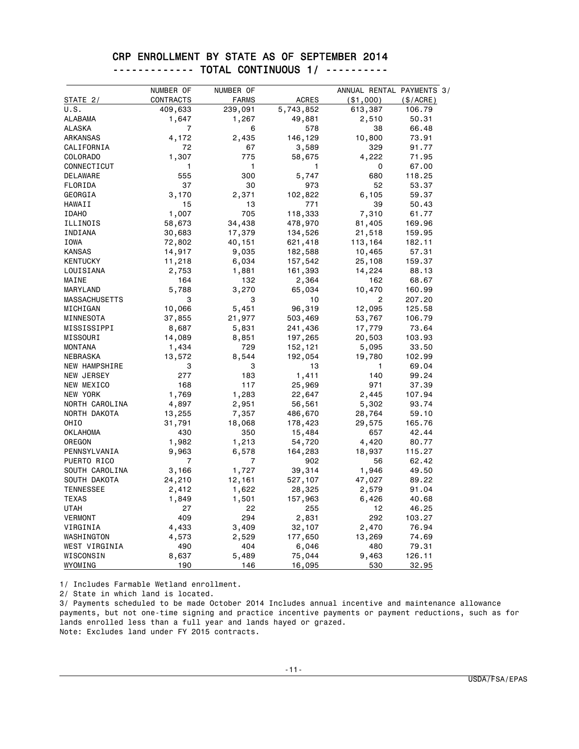#### CRP ENROLLMENT BY STATE AS OF SEPTEMBER 2014 ------------- TOTAL CONTINUOUS 1/ ----------

|                      | NUMBER OF | NUMBER OF    |              | ANNUAL RENTAL PAYMENTS 3/ |             |
|----------------------|-----------|--------------|--------------|---------------------------|-------------|
| STATE 2/             | CONTRACTS | <b>FARMS</b> | <b>ACRES</b> | ( \$1,000)                | $(\$/ACRE)$ |
| U.S.                 | 409,633   | 239,091      | 5,743,852    | 613,387                   | 106.79      |
| <b>ALABAMA</b>       | 1,647     | 1,267        | 49,881       | 2,510                     | 50.31       |
| <b>ALASKA</b>        | 7         | 6            | 578          | 38                        | 66.48       |
| <b>ARKANSAS</b>      | 4,172     | 2,435        | 146,129      | 10,800                    | 73.91       |
| CALIFORNIA           | 72        | 67           | 3,589        | 329                       | 91.77       |
| COLORADO             | 1,307     | 775          | 58,675       | 4,222                     | 71.95       |
| CONNECTICUT          | 1         | 1            | 1            | 0                         | 67.00       |
| DELAWARE             | 555       | 300          | 5,747        | 680                       | 118.25      |
| FLORIDA              | 37        | 30           | 973          | 52                        | 53.37       |
| GEORGIA              | 3,170     | 2,371        | 102,822      | 6,105                     | 59.37       |
| HAWAII               | 15        | 13           | 771          | 39                        | 50.43       |
| <b>IDAHO</b>         | 1,007     | 705          | 118,333      | 7,310                     | 61.77       |
| ILLINOIS             | 58,673    | 34,438       | 478,970      | 81,405                    | 169.96      |
| INDIANA              | 30,683    | 17,379       | 134,526      | 21,518                    | 159.95      |
| IOWA                 | 72,802    | 40,151       | 621,418      | 113,164                   | 182.11      |
| <b>KANSAS</b>        | 14,917    | 9,035        | 182,588      | 10,465                    | 57.31       |
| <b>KENTUCKY</b>      | 11,218    | 6,034        | 157,542      | 25,108                    | 159.37      |
| LOUISIANA            | 2,753     | 1,881        | 161,393      | 14,224                    | 88.13       |
| MAINE                | 164       | 132          | 2,364        | 162                       | 68.67       |
| MARYLAND             | 5,788     | 3,270        | 65,034       | 10,470                    | 160.99      |
| <b>MASSACHUSETTS</b> | 3         | 3            | 10           | $\overline{c}$            | 207.20      |
| MICHIGAN             | 10,066    | 5,451        | 96,319       | 12,095                    | 125.58      |
| MINNESOTA            | 37,855    | 21,977       | 503,469      | 53,767                    | 106.79      |
| MISSISSIPPI          | 8,687     | 5,831        | 241,436      | 17,779                    | 73.64       |
| MISSOURI             | 14,089    | 8,851        | 197,265      | 20,503                    | 103.93      |
| <b>MONTANA</b>       | 1,434     | 729          | 152,121      | 5,095                     | 33.50       |
| NEBRASKA             | 13,572    | 8,544        | 192,054      | 19,780                    | 102.99      |
| NEW HAMPSHIRE        | 3         | 3            | 13           | 1                         | 69.04       |
| NEW JERSEY           | 277       | 183          | 1,411        | 140                       | 99.24       |
| NEW MEXICO           | 168       | 117          | 25,969       | 971                       | 37.39       |
| <b>NEW YORK</b>      | 1,769     | 1,283        | 22,647       | 2,445                     | 107.94      |
| NORTH CAROLINA       | 4,897     | 2,951        | 56,561       | 5,302                     | 93.74       |
| NORTH DAKOTA         | 13,255    | 7,357        | 486,670      | 28,764                    | 59.10       |
| OHI <sub>0</sub>     | 31,791    | 18,068       | 178,423      | 29,575                    | 165.76      |
| <b>OKLAHOMA</b>      | 430       | 350          | 15,484       | 657                       | 42.44       |
| OREGON               | 1,982     | 1,213        | 54,720       | 4,420                     | 80.77       |
| PENNSYLVANIA         | 9,963     | 6,578        | 164,283      | 18,937                    | 115.27      |
| PUERTO RICO          | 7         | 7            | 902          | 56                        | 62.42       |
| SOUTH CAROLINA       | 3,166     | 1,727        | 39,314       | 1,946                     | 49.50       |
| SOUTH DAKOTA         | 24,210    | 12,161       | 527,107      | 47,027                    | 89.22       |
| <b>TENNESSEE</b>     | 2,412     | 1,622        | 28,325       | 2,579                     | 91.04       |
| <b>TEXAS</b>         | 1,849     | 1,501        | 157,963      | 6,426                     | 40.68       |
| <b>UTAH</b>          | 27        | 22           | 255          | 12                        | 46.25       |
| <b>VERMONT</b>       | 409       | 294          | 2,831        | 292                       | 103.27      |
| VIRGINIA             | 4,433     | 3,409        | 32,107       | 2,470                     | 76.94       |
| WASHINGTON           | 4,573     | 2,529        | 177,650      | 13,269                    | 74.69       |
| WEST VIRGINIA        | 490       | 404          | 6,046        | 480                       | 79.31       |
| WISCONSIN            | 8,637     | 5,489        | 75,044       | 9,463                     | 126.11      |
| WYOMING              | 190       | 146          | 16,095       | 530                       | 32.95       |

1/ Includes Farmable Wetland enrollment.

2/ State in which land is located.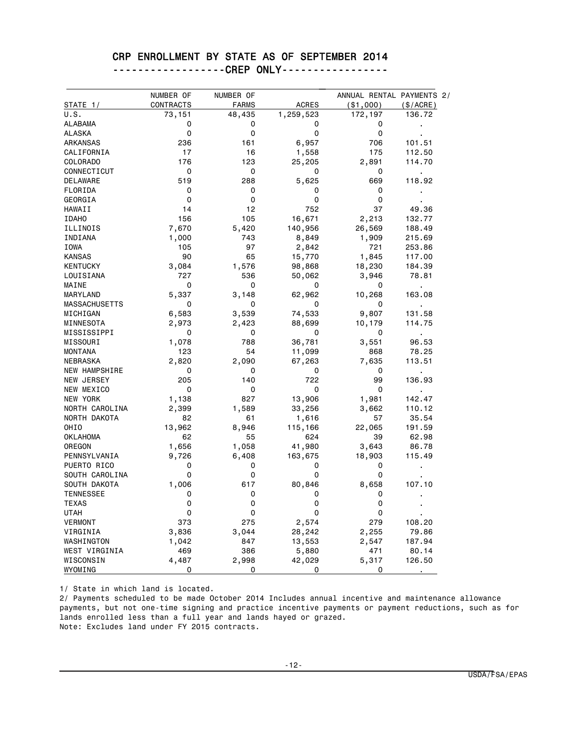#### CRP ENROLLMENT BY STATE AS OF SEPTEMBER 2014

------------------CREP ONLY-----------------

|                      | NUMBER OF   | NUMBER OF    |              | ANNUAL RENTAL PAYMENTS 2/ |                |
|----------------------|-------------|--------------|--------------|---------------------------|----------------|
| STATE 1/             | CONTRACTS   | <b>FARMS</b> | <b>ACRES</b> | ( \$1,000)                | (\$/ACRE)      |
| U.S.                 | 73,151      | 48,435       | 1,259,523    | 172,197                   | 136.72         |
| <b>ALABAMA</b>       | 0           | 0            | 0            | 0                         | ï              |
| <b>ALASKA</b>        | 0           | 0            | 0            | 0                         |                |
| ARKANSAS             | 236         | 161          | 6,957        | 706                       | 101.51         |
| CALIFORNIA           | 17          | 16           | 1,558        | 175                       | 112.50         |
| COLORADO             | 176         | 123          | 25,205       | 2,891                     | 114.70         |
| CONNECTICUT          | 0           | 0            | 0            | 0                         | $\blacksquare$ |
| <b>DELAWARE</b>      | 519         | 288          | 5,625        | 669                       | 118.92         |
| FLORIDA              | 0           | 0            | 0            | 0                         |                |
| GEORGIA              | $\Omega$    | 0            | 0            | 0                         |                |
| HAWAII               | 14          | 12           | 752          | 37                        | 49.36          |
| <b>IDAHO</b>         | 156         | 105          | 16,671       | 2,213                     | 132.77         |
| ILLINOIS             | 7,670       | 5,420        | 140,956      | 26,569                    | 188.49         |
| INDIANA              | 1,000       | 743          | 8,849        | 1,909                     | 215.69         |
| IOWA                 | 105         | 97           | 2,842        | 721                       | 253.86         |
| <b>KANSAS</b>        | 90          | 65           | 15,770       | 1,845                     | 117.00         |
| <b>KENTUCKY</b>      | 3,084       | 1,576        | 98,868       | 18,230                    | 184.39         |
| LOUISIANA            | 727         | 536          | 50,062       | 3,946                     | 78.81          |
| MAINE                | 0           | 0            | 0            | 0                         |                |
| MARYLAND             | 5,337       | 3,148        | 62,962       | 10,268                    | 163.08         |
| <b>MASSACHUSETTS</b> | 0           | 0            | 0            | 0                         |                |
| MICHIGAN             | 6,583       | 3,539        | 74,533       | 9,807                     | 131.58         |
| MINNESOTA            | 2,973       | 2,423        | 88,699       | 10,179                    | 114.75         |
| MISSISSIPPI          | 0           | 0            | 0            | 0                         | $\blacksquare$ |
| MISSOURI             | 1,078       | 788          | 36,781       | 3,551                     | 96.53          |
| <b>MONTANA</b>       | 123         | 54           | 11,099       | 868                       | 78.25          |
| NEBRASKA             | 2,820       | 2,090        | 67,263       | 7,635                     | 113.51         |
| <b>NEW HAMPSHIRE</b> | 0           | 0            | 0            | 0                         |                |
| NEW JERSEY           | 205         | 140          | 722          | 99                        | 136.93         |
| NEW MEXICO           | $\mathbf 0$ | 0            | 0            | 0                         |                |
| NEW YORK             | 1,138       | 827          | 13,906       | 1,981                     | 142.47         |
| NORTH CAROLINA       | 2,399       | 1,589        | 33,256       | 3,662                     | 110.12         |
| NORTH DAKOTA         | 82          | 61           | 1,616        | 57                        | 35.54          |
| OHIO                 | 13,962      | 8,946        | 115,166      | 22,065                    | 191.59         |
| <b>OKLAHOMA</b>      | 62          | 55           | 624          | 39                        | 62.98          |
| OREGON               | 1,656       | 1,058        | 41,980       | 3,643                     | 86.78          |
| PENNSYLVANIA         | 9,726       | 6,408        | 163,675      | 18,903                    | 115.49         |
| PUERTO RICO          | 0           | 0            | 0            | 0                         |                |
| SOUTH CAROLINA       | 0           | 0            | 0            | 0                         |                |
| SOUTH DAKOTA         |             | 617          | 80,846       |                           | 107.10         |
|                      | 1,006<br>0  | 0            |              | 8,658                     |                |
| <b>TENNESSEE</b>     | 0           | 0            | 0<br>0       | 0<br>0                    |                |
| <b>TEXAS</b>         |             |              |              |                           |                |
| <b>UTAH</b>          | 0           | 0            | 0            | 0                         |                |
| <b>VERMONT</b>       | 373         | 275          | 2,574        | 279                       | 108.20         |
| VIRGINIA             | 3,836       | 3,044        | 28,242       | 2,255                     | 79.86          |
| WASHINGTON           | 1,042       | 847          | 13,553       | 2,547                     | 187.94         |
| WEST VIRGINIA        | 469         | 386          | 5,880        | 471                       | 80.14          |
| WISCONSIN<br>WYOMING | 4,487<br>0  | 2,998<br>0   | 42,029<br>0  | 5,317<br>0                | 126.50         |

1/ State in which land is located.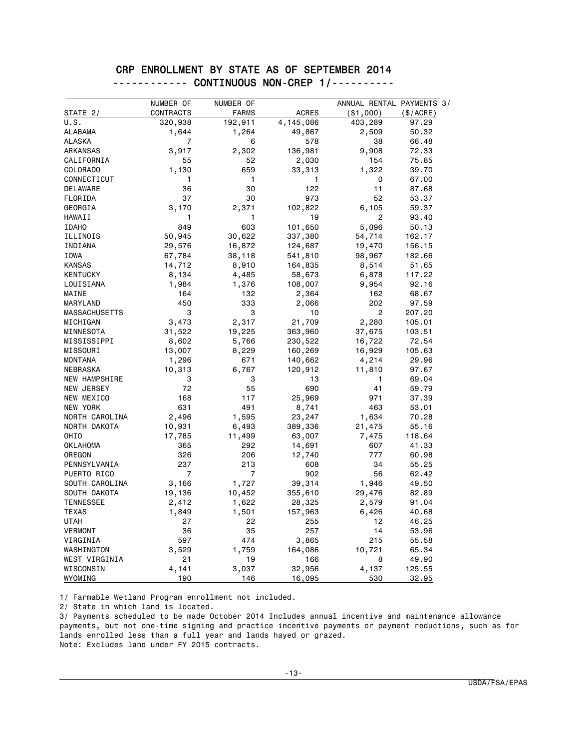### CRP ENROLLMENT BY STATE AS OF SEPTEMBER 2014 ------------ CONTINUOUS NON-CREP 1/----------

| STATE 2/             | NUMBER OF<br>CONTRACTS | NUMBER OF<br><b>FARMS</b> | <b>ACRES</b> | ANNUAL RENTAL PAYMENTS 3/<br>( \$1,000) | (\$/ACRE) |
|----------------------|------------------------|---------------------------|--------------|-----------------------------------------|-----------|
| U.S.                 | 320,938                | 192,911                   | 4,145,086    | 403,289                                 | 97.29     |
| <b>ALABAMA</b>       | 1,644                  | 1,264                     | 49,867       | 2,509                                   | 50.32     |
| <b>ALASKA</b>        | 7                      | 6                         | 578          | 38                                      | 66.48     |
| ARKANSAS             | 3,917                  | 2,302                     | 136,981      | 9,908                                   | 72.33     |
| CALIFORNIA           | 55                     | 52                        | 2,030        | 154                                     | 75.85     |
| COLORADO             | 1,130                  | 659                       | 33,313       | 1,322                                   | 39.70     |
| CONNECTICUT          | 1                      | 1                         | 1            | 0                                       | 67.00     |
| DELAWARE             | 36                     | 30                        | 122          | 11                                      | 87.68     |
| FLORIDA              | 37                     | 30                        | 973          | 52                                      | 53.37     |
| GEORGIA              | 3,170                  | 2,371                     | 102,822      | 6,105                                   | 59.37     |
| HAWAII               | 1                      | 1                         | 19           | $\overline{c}$                          | 93.40     |
| <b>IDAHO</b>         | 849                    | 603                       | 101,650      | 5,096                                   | 50.13     |
| ILLINOIS             | 50,945                 | 30,622                    | 337,380      | 54,714                                  | 162.17    |
| INDIANA              | 29,576                 | 16,872                    | 124,687      | 19,470                                  | 156.15    |
| IOWA                 | 67,784                 | 38,118                    | 541,810      | 98,967                                  | 182.66    |
| <b>KANSAS</b>        | 14,712                 | 8,910                     | 164,835      | 8,514                                   | 51.65     |
| <b>KENTUCKY</b>      | 8,134                  | 4,485                     | 58,673       | 6,878                                   | 117.22    |
| LOUISIANA            | 1,984                  | 1,376                     | 108,007      | 9,954                                   | 92.16     |
| MAINE                | 164                    | 132                       | 2,364        | 162                                     | 68.67     |
| MARYLAND             | 450                    | 333                       | 2,066        | 202                                     | 97.59     |
| MASSACHUSETTS        | 3                      | 3                         | 10           | $\overline{c}$                          | 207.20    |
| MICHIGAN             | 3,473                  | 2,317                     | 21,709       | 2,280                                   | 105.01    |
| MINNESOTA            | 31,522                 | 19,225                    | 363,960      | 37,675                                  | 103.51    |
| MISSISSIPPI          | 8,602                  | 5,766                     | 230,522      | 16,722                                  | 72.54     |
| MISSOURI             | 13,007                 | 8,229                     | 160,269      | 16,929                                  | 105.63    |
| <b>MONTANA</b>       | 1,296                  | 671                       | 140,662      | 4,214                                   | 29.96     |
| NEBRASKA             | 10,313                 | 6,767                     | 120,912      | 11,810                                  | 97.67     |
| <b>NEW HAMPSHIRE</b> | 3                      | 3                         | 13           | 1                                       | 69.04     |
| NEW JERSEY           | 72                     | 55                        | 690          | 41                                      | 59.79     |
| NEW MEXICO           | 168                    | 117                       | 25,969       | 971                                     | 37.39     |
| NEW YORK             | 631                    | 491                       | 8,741        | 463                                     | 53.01     |
| NORTH CAROLINA       | 2,496                  | 1,595                     | 23,247       | 1,634                                   | 70.28     |
| NORTH DAKOTA         | 10,931                 | 6,493                     | 389,336      | 21,475                                  | 55.16     |
| <b>OHIO</b>          | 17,785                 | 11,499                    | 63,007       | 7,475                                   | 118.64    |
| <b>OKLAHOMA</b>      | 365                    | 292                       | 14,691       | 607                                     | 41.33     |
| OREGON               | 326                    | 206                       | 12,740       | 777                                     | 60.98     |
| PENNSYLVANIA         | 237                    | 213                       | 608          | 34                                      | 55.25     |
| PUERTO RICO          | $\overline{7}$         | 7                         | 902          | 56                                      | 62.42     |
| SOUTH CAROLINA       | 3,166                  | 1,727                     | 39,314       | 1,946                                   | 49.50     |
| SOUTH DAKOTA         | 19,136                 | 10,452                    | 355,610      | 29,476                                  | 82.89     |
| <b>TENNESSEE</b>     | 2,412                  | 1,622                     | 28,325       | 2,579                                   | 91.04     |
| <b>TEXAS</b>         | 1,849                  | 1,501                     | 157,963      | 6,426                                   | 40.68     |
| <b>UTAH</b>          | 27                     | 22                        | 255          | 12                                      | 46.25     |
| <b>VERMONT</b>       | 36                     | 35                        | 257          | 14                                      | 53.96     |
| VIRGINIA             | 597                    | 474                       | 3,865        | 215                                     | 55.58     |
| WASHINGTON           | 3,529                  | 1,759                     | 164,086      | 10,721                                  | 65.34     |
| WEST VIRGINIA        | 21                     | 19                        | 166          | 8                                       | 49.90     |
| WISCONSIN            | 4,141                  | 3,037                     | 32,956       | 4,137                                   | 125.55    |
| WYOMING              | 190                    | 146                       | 16,095       | 530                                     | 32.95     |

1/ Farmable Wetland Program enrollment not included.

2/ State in which land is located.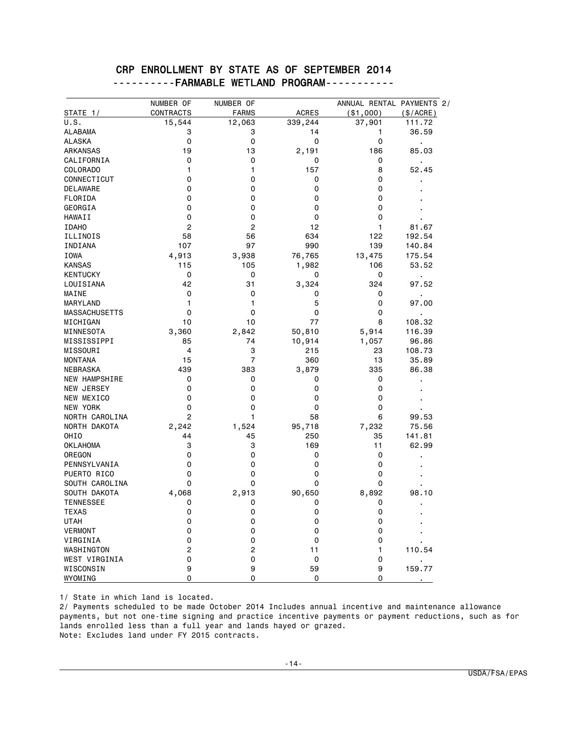## CRP ENROLLMENT BY STATE AS OF SEPTEMBER 2014 ----------FARMABLE WETLAND PROGRAM-----------

|                      | NUMBER OF      | NUMBER OF    |              | ANNUAL RENTAL PAYMENTS 2/ |                |
|----------------------|----------------|--------------|--------------|---------------------------|----------------|
| STATE 1/             | CONTRACTS      | <b>FARMS</b> | <b>ACRES</b> | ( \$1,000)                | (\$/ACRE)      |
| U.S.                 | 15,544         | 12,063       | 339,244      | 37,901                    | 111.72         |
| <b>ALABAMA</b>       | 3              | 3            | 14           | 1                         | 36.59          |
| <b>ALASKA</b>        | 0              | 0            | 0            | 0                         | $\blacksquare$ |
| ARKANSAS             | 19             | 13           | 2,191        | 186                       | 85.03          |
| CALIFORNIA           | 0              | 0            | 0            | 0                         |                |
| COLORADO             | 1              | 1            | 157          | 8                         | 52.45          |
| CONNECTICUT          | 0              | 0            | 0            | 0                         |                |
| DELAWARE             | 0              | 0            | 0            | 0                         |                |
| FLORIDA              | 0              | 0            | 0            | 0                         |                |
| GEORGIA              | 0              | 0            | $\mathbf 0$  | 0                         |                |
| HAWAII               | 0              | 0            | 0            | 0                         |                |
| <b>IDAHO</b>         | $\overline{2}$ | 2            | 12           | $\mathbf{1}$              | 81.67          |
| ILLINOIS             | 58             | 56           | 634          | 122                       | 192.54         |
| INDIANA              | 107            | 97           | 990          | 139                       | 140.84         |
| <b>IOWA</b>          | 4,913          | 3,938        | 76,765       | 13,475                    | 175.54         |
| <b>KANSAS</b>        | 115            | 105          | 1,982        | 106                       | 53.52          |
| <b>KENTUCKY</b>      | $\mathbf 0$    | 0            | 0            | 0                         | $\blacksquare$ |
| LOUISIANA            | 42             | 31           | 3,324        | 324                       | 97.52          |
| MAINE                | 0              | 0            | 0            | 0                         | ä,             |
| <b>MARYLAND</b>      | 1              | 1            | 5            | $\Omega$                  | 97.00          |
| <b>MASSACHUSETTS</b> | 0              | 0            | 0            | 0                         | $\blacksquare$ |
| MICHIGAN             | 10             | 10           | 77           | 8                         | 108.32         |
| MINNESOTA            | 3,360          | 2,842        | 50,810       | 5,914                     | 116.39         |
| MISSISSIPPI          | 85             | 74           | 10,914       | 1,057                     | 96.86          |
| MISSOURI             | $\overline{4}$ | 3            | 215          | 23                        | 108.73         |
| <b>MONTANA</b>       | 15             | 7            | 360          | 13                        | 35.89          |
| NEBRASKA             | 439            | 383          | 3,879        | 335                       | 86.38          |
| NEW HAMPSHIRE        | 0              | 0            | 0            | 0                         |                |
| NEW JERSEY           | 0              | 0            | 0            | 0                         |                |
| NEW MEXICO           | 0              | 0            | $\mathbf 0$  | 0                         |                |
| NEW YORK             | 0              | 0            | 0            | 0                         |                |
| NORTH CAROLINA       | 2              | 1            | 58           | 6                         | 99.53          |
| NORTH DAKOTA         | 2,242          | 1,524        | 95,718       | 7,232                     | 75.56          |
| OHI <sub>0</sub>     | 44             | 45           | 250          | 35                        | 141.81         |
| <b>OKLAHOMA</b>      | 3              | 3            | 169          | 11                        | 62.99          |
| OREGON               | 0              | 0            | 0            | 0                         |                |
| PENNSYLVANIA         | 0              | 0            | 0            | 0                         |                |
| PUERTO RICO          | 0              | 0            | 0            | 0                         |                |
| SOUTH CAROLINA       | 0              | 0            | $\mathbf 0$  | 0                         |                |
| SOUTH DAKOTA         | 4,068          | 2,913        | 90,650       | 8,892                     | 98.10          |
| <b>TENNESSEE</b>     | 0              | 0            | 0            | 0                         |                |
| <b>TEXAS</b>         | 0              | 0            | 0            | 0                         |                |
| <b>UTAH</b>          | 0              | 0            | 0            | 0                         |                |
| <b>VERMONT</b>       | 0              | 0            | $\mathbf 0$  | 0                         |                |
| VIRGINIA             | 0              | 0            | 0            | 0                         |                |
| WASHINGTON           | $\overline{c}$ | 2            | 11           | 1                         | 110.54         |
| WEST VIRGINIA        | 0              | 0            | 0            | 0                         |                |
| WISCONSIN            | 9              | 9            | 59           | 9                         | 159.77         |
| WYOMING              | 0              | 0            | 0            | 0                         |                |

1/ State in which land is located.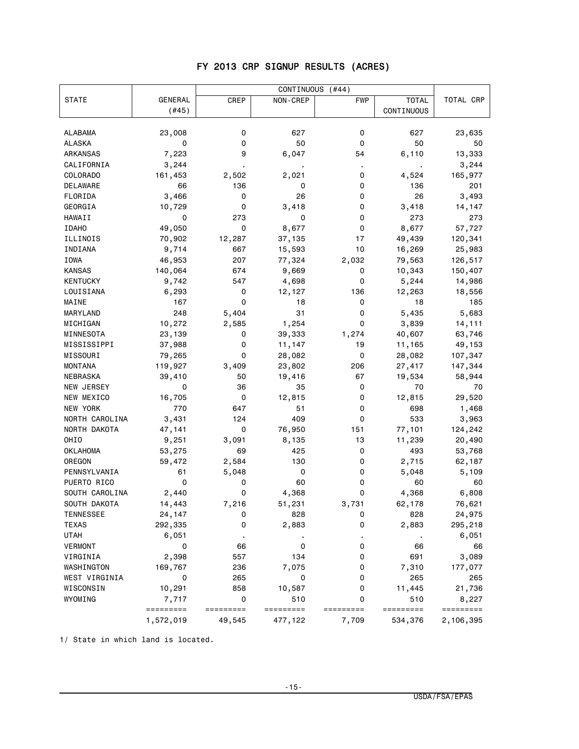## FY 2013 CRP SIGNUP RESULTS (ACRES)

|                  |                | CONTINUOUS<br>$($ #44) |                 |            |              |           |
|------------------|----------------|------------------------|-----------------|------------|--------------|-----------|
| <b>STATE</b>     | <b>GENERAL</b> | CREP                   | NON-CREP        | <b>FWP</b> | <b>TOTAL</b> | TOTAL CRP |
|                  | (#45)          |                        |                 |            | CONTINUOUS   |           |
|                  |                |                        |                 |            |              |           |
| ALABAMA          | 23,008         | 0                      | 627             | 0          | 627          | 23,635    |
| ALASKA           | 0              | 0                      | 50              | 0          | 50           | 50        |
| ARKANSAS         | 7,223          | 9                      | 6,047           | 54         | 6,110        | 13,333    |
| CALIFORNIA       | 3,244          |                        |                 |            |              | 3,244     |
| COLORADO         | 161,453        | 2,502                  | 2,021           | 0          | 4,524        | 165,977   |
| <b>DELAWARE</b>  | 66             | 136                    | 0               | 0          | 136          | 201       |
| FLORIDA          | 3,466          | 0                      | 26              | 0          | 26           | 3,493     |
| GEORGIA          | 10,729         | 0                      | 3,418           | 0          | 3,418        | 14,147    |
| HAWAII           | 0              | 273                    | 0               | 0          | 273          | 273       |
| <b>IDAHO</b>     | 49,050         | 0                      | 8,677           | 0          | 8,677        | 57,727    |
| ILLINOIS         | 70,902         | 12,287                 | 37,135          | 17         | 49,439       | 120,341   |
| INDIANA          | 9,714          | 667                    | 15,593          | 10         | 16,269       | 25,983    |
| IOWA             | 46,953         | 207                    | 77,324          | 2,032      | 79,563       | 126,517   |
| KANSAS           | 140,064        | 674                    | 9,669           | 0          | 10,343       | 150,407   |
| KENTUCKY         | 9,742          | 547                    | 4,698           | 0          | 5,244        | 14,986    |
| LOUISIANA        | 6,293          | 0                      | 12,127          | 136        | 12,263       | 18,556    |
| MAINE            | 167            | 0                      | 18              | 0          | 18           | 185       |
| MARYLAND         | 248            | 5,404                  | 31              | 0          | 5,435        | 5,683     |
|                  |                |                        |                 | 0          |              |           |
| MICHIGAN         | 10,272         | 2,585                  | 1,254<br>39,333 | 1,274      | 3,839        | 14,111    |
| MINNESOTA        | 23,139         | 0                      |                 |            | 40,607       | 63,746    |
| MISSISSIPPI      | 37,988         | 0                      | 11,147          | 19         | 11,165       | 49,153    |
| MISSOURI         | 79,265         | 0                      | 28,082          | 0          | 28,082       | 107,347   |
| <b>MONTANA</b>   | 119,927        | 3,409                  | 23,802          | 206        | 27,417       | 147,344   |
| NEBRASKA         | 39,410         | 50                     | 19,416          | 67         | 19,534       | 58,944    |
| NEW JERSEY       | 0              | 36                     | 35              | 0          | 70           | 70        |
| NEW MEXICO       | 16,705         | 0                      | 12,815          | 0          | 12,815       | 29,520    |
| NEW YORK         | 770            | 647                    | 51              | 0          | 698          | 1,468     |
| NORTH CAROLINA   | 3,431          | 124                    | 409             | 0          | 533          | 3,963     |
| NORTH DAKOTA     | 47,141         | 0                      | 76,950          | 151        | 77,101       | 124,242   |
| OHIO             | 9,251          | 3,091                  | 8,135           | 13         | 11,239       | 20,490    |
| <b>OKLAHOMA</b>  | 53,275         | 69                     | 425             | 0          | 493          | 53,768    |
| OREGON           | 59,472         | 2,584                  | 130             | 0          | 2,715        | 62,187    |
| PENNSYLVANIA     | 61             | 5,048                  | 0               | 0          | 5,048        | 5,109     |
| PUERTO RICO      | 0              | 0                      | 60              | 0          | 60           | 60        |
| SOUTH CAROLINA   | 2,440          | 0                      | 4,368           | 0          | 4,368        | 6,808     |
| SOUTH DAKOTA     | 14,443         | 7,216                  | 51,231          | 3,731      | 62,178       | 76,621    |
| <b>TENNESSEE</b> | 24,147         | 0                      | 828             | 0          | 828          | 24,975    |
| <b>TEXAS</b>     | 292,335        | 0                      | 2,883           | 0          | 2,883        | 295,218   |
| <b>UTAH</b>      | 6,051          |                        |                 |            |              | 6,051     |
| <b>VERMONT</b>   | 0              | 66                     | 0               | 0          | 66           | 66        |
| VIRGINIA         | 2,398          | 557                    | 134             | 0          | 691          | 3,089     |
| WASHINGTON       | 169,767        | 236                    | 7,075           | 0          | 7,310        | 177,077   |
| WEST VIRGINIA    | 0              | 265                    | 0               | 0          | 265          | 265       |
| WISCONSIN        | 10,291         | 858                    | 10,587          | 0          | 11,445       | 21,736    |
| WYOMING          | 7,717          | $\pmb{0}$              | 510             | 0          | 510          | 8,227     |
|                  | =========      | =========              | =========       | =========  | =========    | ========= |
|                  | 1,572,019      | 49,545                 | 477,122         | 7,709      | 534,376      | 2,106,395 |

1/ State in which land is located.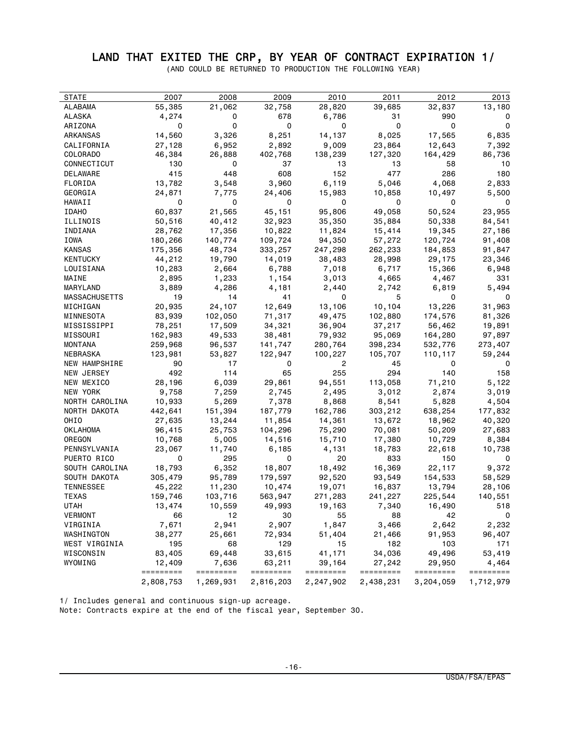## LAND THAT EXITED THE CRP, BY YEAR OF CONTRACT EXPIRATION 1/

(AND COULD BE RETURNED TO PRODUCTION THE FOLLOWING YEAR)

| STATE                | 2007                   | 2008                   | 2009                   | 2010                   | 2011                   | 2012                   | 2013                   |
|----------------------|------------------------|------------------------|------------------------|------------------------|------------------------|------------------------|------------------------|
| ALABAMA              | 55,385                 | 21,062                 | 32,758                 | 28,820                 | 39,685                 | 32,837                 | 13,180                 |
| ALASKA               | 4,274                  | 0                      | 678                    | 6,786                  | 31                     | 990                    | 0                      |
| ARIZONA              | 0                      | 0                      | 0                      | 0                      | 0                      | 0                      | 0                      |
| ARKANSAS             | 14,560                 | 3,326                  | 8,251                  | 14,137                 | 8,025                  | 17,565                 | 6,835                  |
| CALIFORNIA           | 27,128                 | 6,952                  | 2,892                  | 9,009                  | 23,864                 | 12,643                 | 7,392                  |
| COLORADO             | 46,384                 | 26,888                 | 402,768                | 138,239                | 127,320                | 164,429                | 86,736                 |
| CONNECTICUT          | 130                    | 0                      | 37                     | 13                     | 13                     | 58                     | 10                     |
| DELAWARE             | 415                    | 448                    | 608                    | 152                    | 477                    | 286                    | 180                    |
| FLORIDA              | 13,782                 | 3,548                  | 3,960                  | 6,119                  | 5,046                  | 4,068                  | 2,833                  |
| GEORGIA              | 24,871                 | 7,775                  | 24,406                 | 15,983                 | 10,858                 | 10,497                 | 5,500                  |
| HAWAII               | 0                      | 0                      | 0                      | 0                      | 0                      | 0                      | 0                      |
| <b>IDAHO</b>         | 60,837                 | 21,565                 | 45,151                 | 95,806                 | 49,058                 | 50,524                 | 23,955                 |
| ILLINOIS             | 50,516                 | 40,412                 | 32,923                 | 35,350                 | 35,884                 | 50,338                 | 84,541                 |
| INDIANA              | 28,762                 | 17,356                 | 10,822                 | 11,824                 | 15,414                 | 19,345                 | 27,186                 |
| IOWA                 | 180,266                | 140,774                | 109,724                | 94,350                 | 57,272                 | 120,724                | 91,408                 |
| KANSAS               | 175,356                | 48,734                 | 333,257                | 247,298                | 262,233                | 184,853                | 91,847                 |
| KENTUCKY             | 44,212                 | 19,790                 | 14,019                 | 38,483                 | 28,998                 | 29,175                 | 23,346                 |
| LOUISIANA            | 10,283                 | 2,664                  | 6,788                  | 7,018                  | 6,717                  | 15,366                 | 6,948                  |
| MAINE                | 2,895                  | 1,233                  | 1,154                  | 3,013                  | 4,665                  | 4,467                  | 331                    |
| MARYLAND             | 3,889                  | 4,286                  | 4,181                  | 2,440                  | 2,742                  | 6,819                  | 5,494                  |
| <b>MASSACHUSETTS</b> | 19                     | 14                     | 41                     | 0                      | 5                      | 0                      | 0                      |
| MICHIGAN             | 20,935                 | 24,107                 | 12,649                 | 13,106                 | 10,104                 | 13,226                 | 31,963                 |
| MINNESOTA            | 83,939                 | 102,050                | 71,317                 | 49,475                 | 102,880                | 174,576                | 81,326                 |
| MISSISSIPPI          | 78,251                 | 17,509                 | 34,321                 | 36,904                 | 37,217                 | 56,462                 | 19,891                 |
| MISSOURI             | 162,983                | 49,533                 | 38,481                 | 79,932                 | 95,069                 | 164,280                | 97,897                 |
| MONTANA              | 259,968                | 96,537                 | 141,747                | 280,764                | 398,234                | 532,776                | 273,407                |
| NEBRASKA             | 123,981                | 53,827                 | 122,947                | 100,227                | 105,707                | 110, 117               | 59,244                 |
| NEW HAMPSHIRE        | 90                     | 17                     | 0                      | 2                      | 45                     | 0                      | 0                      |
| NEW JERSEY           | 492                    | 114                    | 65                     | 255                    | 294                    | 140                    | 158                    |
| NEW MEXICO           | 28,196                 | 6,039                  | 29,861                 | 94,551                 | 113,058                | 71,210                 | 5,122                  |
| NEW YORK             | 9,758                  | 7,259                  | 2,745                  | 2,495                  | 3,012                  | 2,874                  | 3,019                  |
| NORTH CAROLINA       | 10,933                 | 5,269                  | 7,378                  | 8,868                  | 8,541                  | 5,828                  | 4,504                  |
| NORTH DAKOTA         | 442,641                | 151,394                | 187,779                | 162,786                | 303,212                | 638,254                | 177,832                |
| OHIO                 | 27,635                 | 13,244                 | 11,854                 | 14,361                 | 13,672                 | 18,962                 | 40,320                 |
| OKLAHOMA             | 96,415                 | 25,753                 | 104,296                | 75,290                 | 70,081                 | 50,209                 | 27,683                 |
| OREGON               | 10,768                 | 5,005                  | 14,516                 | 15,710                 | 17,380                 | 10,729                 | 8,384                  |
| PENNSYLVANIA         | 23,067                 | 11,740                 | 6,185                  | 4,131                  | 18,783                 | 22,618                 | 10,738                 |
| PUERTO RICO          | 0                      | 295                    | 0                      | 20                     | 833                    | 150                    | 0                      |
| SOUTH CAROLINA       | 18,793                 | 6,352                  | 18,807                 | 18,492                 | 16,369                 | 22,117                 | 9,372                  |
| SOUTH DAKOTA         | 305,479                | 95,789                 | 179,597                | 92,520                 | 93,549                 | 154,533                | 58,529                 |
| TENNESSEE            | 45,222                 | 11,230                 | 10,474                 | 19,071                 | 16,837                 | 13,794                 | 28,106                 |
| TEXAS                | 159,746                | 103,716                | 563,947                | 271,283                | 241,227                | 225,544                | 140,551                |
| UTAH                 | 13,474                 | 10,559                 | 49,993                 | 19,163                 | 7,340                  | 16,490                 | 518                    |
| <b>VERMONT</b>       | 66                     | 12                     | 30                     | 55                     | 88                     | 42                     | 0                      |
| VIRGINIA             | 7,671                  | 2,941                  | 2,907                  | 1,847                  | 3,466                  | 2,642                  | 2,232                  |
| WASHINGTON           | 38,277                 | 25,661                 | 72,934                 | 51,404                 | 21,466                 | 91,953                 | 96,407                 |
| WEST VIRGINIA        | 195                    | 68                     | 129                    | 15                     | 182                    | 103                    | 171                    |
| WISCONSIN            | 83,405                 | 69,448                 | 33,615                 | 41,171                 | 34,036                 | 49,496                 | 53,419                 |
| WYOMING              | 12,409                 | 7,636                  | 63,211                 | 39,164                 | 27,242                 | 29,950                 | 4,464                  |
|                      | =========<br>2,808,753 | =========<br>1,269,931 | =========<br>2,816,203 | =========<br>2,247,902 | =========<br>2,438,231 | =========<br>3,204,059 | =========<br>1,712,979 |

1/ Includes general and continuous sign-up acreage.

Note: Contracts expire at the end of the fiscal year, September 30.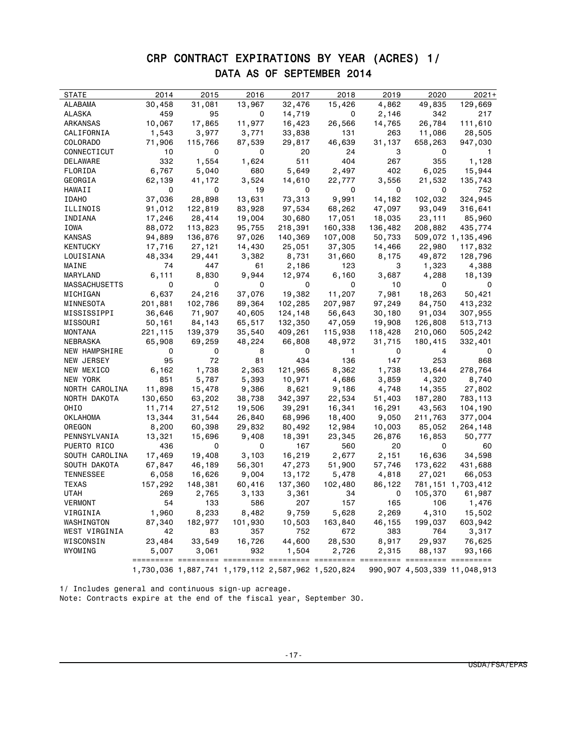# CRP CONTRACT EXPIRATIONS BY YEAR (ACRES) 1/ DATA AS OF SEPTEMBER 2014

| <b>STATE</b>         | 2014    | 2015    | 2016    | 2017                                              | 2018         | 2019    | 2020    | $2021+$                           |
|----------------------|---------|---------|---------|---------------------------------------------------|--------------|---------|---------|-----------------------------------|
| ALABAMA              | 30,458  | 31,081  | 13,967  | 32,476                                            | 15,426       | 4,862   | 49,835  | 129,669                           |
| ALASKA               | 459     | 95      | 0       | 14,719                                            | 0            | 2,146   | 342     | 217                               |
| ARKANSAS             | 10,067  | 17,865  | 11,977  | 16,423                                            | 26,566       | 14,765  | 26,784  | 111,610                           |
| CALIFORNIA           | 1,543   | 3,977   | 3,771   | 33,838                                            | 131          | 263     | 11,086  | 28,505                            |
| COLORADO             | 71,906  | 115,766 | 87,539  | 29,817                                            | 46,639       | 31,137  | 658,263 | 947,030                           |
| CONNECTICUT          | 10      | 0       | 0       | 20                                                | 24           | 3       | 0       | 1                                 |
| DELAWARE             | 332     | 1,554   | 1,624   | 511                                               | 404          | 267     | 355     | 1,128                             |
| FLORIDA              | 6,767   | 5,040   | 680     | 5,649                                             | 2,497        | 402     | 6,025   | 15,944                            |
| GEORGIA              | 62,139  | 41,172  | 3,524   | 14,610                                            | 22,777       | 3,556   | 21,532  | 135,743                           |
| HAWAII               | 0       | 0       | 19      | 0                                                 | 0            | 0       | 0       | 752                               |
| <b>IDAHO</b>         | 37,036  | 28,898  | 13,631  | 73,313                                            | 9,991        | 14,182  | 102,032 | 324,945                           |
| ILLINOIS             | 91,012  | 122,819 | 83,928  | 97,534                                            | 68,262       | 47,097  | 93,049  | 316,641                           |
| INDIANA              | 17,246  | 28,414  | 19,004  | 30,680                                            | 17,051       | 18,035  | 23,111  | 85,960                            |
| IOWA                 | 88,072  | 113,823 | 95,755  | 218,391                                           | 160,338      | 136,482 | 208,882 | 435,774                           |
| KANSAS               | 94,889  | 136,876 | 97,026  | 140,369                                           | 107,008      | 50,733  |         | 509,072 1,135,496                 |
| <b>KENTUCKY</b>      | 17,716  | 27,121  | 14,430  | 25,051                                            | 37,305       | 14,466  | 22,980  | 117,832                           |
| LOUISIANA            | 48,334  | 29,441  | 3,382   | 8,731                                             | 31,660       | 8,175   | 49,872  | 128,796                           |
| MAINE                | 74      | 447     | 61      | 2,186                                             | 123          | 3       | 1,323   | 4,388                             |
| MARYLAND             | 6,111   | 8,830   | 9,944   | 12,974                                            | 6,160        | 3,687   | 4,288   | 18,139                            |
| <b>MASSACHUSETTS</b> | 0       | 0       | 0       | 0                                                 | 0            | 10      | 0       | 0                                 |
| MICHIGAN             | 6,637   | 24,216  | 37,076  | 19,382                                            | 11,207       | 7,981   | 18,263  | 50,421                            |
| MINNESOTA            | 201,881 | 102,786 | 89,364  | 102,285                                           | 207,987      | 97,249  | 84,750  | 413,232                           |
| MISSISSIPPI          | 36,646  | 71,907  | 40,605  | 124,148                                           | 56,643       | 30,180  | 91,034  | 307,955                           |
| MISSOURI             | 50,161  | 84,143  | 65,517  | 132,350                                           | 47,059       | 19,908  | 126,808 | 513,713                           |
| MONTANA              | 221,115 | 139,379 | 35,540  | 409,261                                           | 115,938      | 118,428 | 210,060 | 505,242                           |
| NEBRASKA             | 65,908  | 69,259  | 48,224  | 66,808                                            | 48,972       | 31,715  | 180,415 | 332,401                           |
| NEW HAMPSHIRE        | 0       | 0       | 8       | 0                                                 | $\mathbf{1}$ | 0       | 4       | 0                                 |
| NEW JERSEY           | 95      | 72      | 81      | 434                                               | 136          | 147     | 253     | 868                               |
| NEW MEXICO           | 6,162   | 1,738   | 2,363   | 121,965                                           | 8,362        | 1,738   | 13,644  | 278,764                           |
| NEW YORK             | 851     | 5,787   | 5,393   | 10,971                                            | 4,686        | 3,859   | 4,320   | 8,740                             |
| NORTH CAROLINA       | 11,898  | 15,478  | 9,386   | 8,621                                             | 9,186        | 4,748   | 14,355  | 27,802                            |
| NORTH DAKOTA         | 130,650 | 63,202  | 38,738  | 342,397                                           | 22,534       | 51,403  | 187,280 | 783,113                           |
| OHIO                 | 11,714  | 27,512  | 19,506  | 39,291                                            | 16,341       | 16,291  | 43,563  | 104,190                           |
| OKLAHOMA             | 13,344  | 31,544  | 26,840  | 68,996                                            | 18,400       | 9,050   | 211,763 | 377,004                           |
| OREGON               | 8,200   | 60,398  | 29,832  | 80,492                                            | 12,984       | 10,003  | 85,052  | 264,148                           |
| PENNSYLVANIA         | 13,321  | 15,696  | 9,408   | 18,391                                            | 23,345       | 26,876  | 16,853  | 50,777                            |
| PUERTO RICO          | 436     | 0       | 0       | 167                                               | 560          | 20      | 0       | 60                                |
| SOUTH CAROLINA       | 17,469  | 19,408  | 3,103   | 16,219                                            | 2,677        | 2,151   | 16,636  | 34,598                            |
| SOUTH DAKOTA         | 67,847  | 46,189  | 56,301  | 47,273                                            | 51,900       | 57,746  | 173,622 | 431,688                           |
| <b>TENNESSEE</b>     | 6,058   | 16,626  | 9,004   | 13,172                                            | 5,478        | 4,818   | 27,021  | 66,053                            |
| TEXAS                | 157,292 | 148,381 | 60,416  | 137,360                                           | 102,480      | 86,122  |         | 781, 151 1, 703, 412              |
| <b>UTAH</b>          | 269     | 2,765   | 3,133   | 3,361                                             | 34           | 0       | 105,370 | 61,987                            |
| VERMONT              | 54      | 133     | 586     | 207                                               | 157          | 165     | 106     | 1,476                             |
| VIRGINIA             | 1,960   | 8,233   | 8,482   | 9,759                                             | 5,628        | 2,269   | 4,310   | 15,502                            |
| WASHINGTON           | 87,340  | 182,977 | 101,930 | 10,503                                            | 163,840      | 46,155  | 199,037 | 603,942                           |
| WEST VIRGINIA        | 42      | 83      | 357     | 752                                               | 672          | 383     | 764     | 3,317                             |
| WISCONSIN            | 23,484  | 33,549  | 16,726  | 44,600                                            | 28,530       | 8,917   | 29,937  | 76,625                            |
| WYOMING              | 5,007   | 3,061   | 932     | 1,504                                             | 2,726        | 2,315   | 88,137  | 93,166                            |
|                      |         |         |         | 1,730,036 1,887,741 1,179,112 2,587,962 1,520,824 |              |         |         | 990, 907 4, 503, 339 11, 048, 913 |

1/ Includes general and continuous sign-up acreage. Note: Contracts expire at the end of the fiscal year, September 30.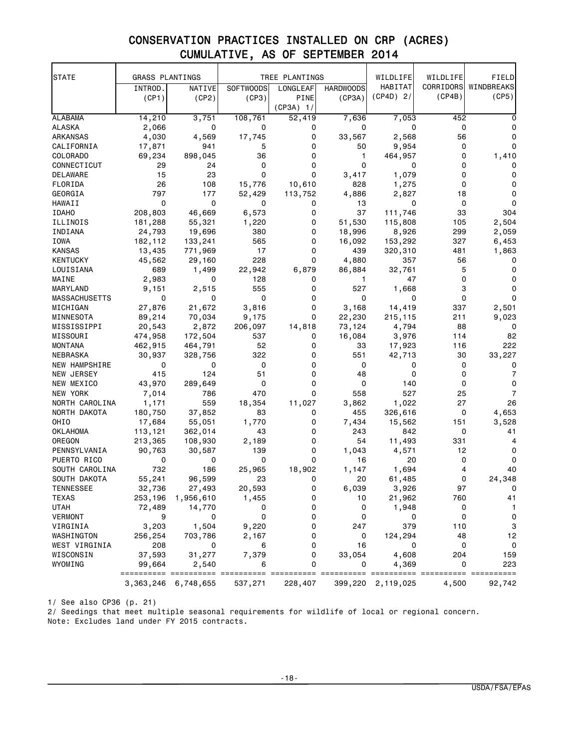# CONSERVATION PRACTICES INSTALLED ON CRP (ACRES) CUMULATIVE, AS OF SEPTEMBER 2014

| <b>STATE</b>         | <b>GRASS PLANTINGS</b> |                         |                  | TREE PLANTINGS |                  | WILDLIFE          | WILDLIFE  | FIELD             |
|----------------------|------------------------|-------------------------|------------------|----------------|------------------|-------------------|-----------|-------------------|
|                      | INTROD.                | NATIVE                  | <b>SOFTWOODS</b> | LONGLEAF       | <b>HARDWOODS</b> | HABITAT           | CORRIDORS | WINDBREAKS        |
|                      | (CP1)                  | (CP2)                   | (CP3)            | PINE           | (CP3A)           | $(CP4D)$ 2/       | (CP4B)    | (CP5)             |
|                      |                        |                         |                  | $(CP3A)$ 1/    |                  |                   |           |                   |
| <b>ALABAMA</b>       | 14,210                 | 3,751                   | 108,761          | 52,419         | 7,636            | 7,053             | 452       | 0                 |
| ALASKA               | 2,066                  | 0                       | 0                | 0              | 0                | 0                 | 0         | 0                 |
| ARKANSAS             | 4,030                  | 4,569                   | 17,745           | 0              | 33,567           | 2,568             | 56        | 0                 |
| CALIFORNIA           | 17,871                 | 941                     | 5                | 0              | 50               | 9,954             | 0         | 0                 |
| COLORADO             | 69,234                 | 898,045                 | 36               | 0              | 1                | 464,957           | 0         | 1,410             |
| CONNECTICUT          | 29                     | 24                      | 0                | 0              | $\mathbf 0$      | 0                 | 0         | 0                 |
| DELAWARE             | 15                     | 23                      | 0                | 0              | 3,417            | 1,079             | 0         | 0                 |
| FLORIDA              | 26                     | 108                     | 15,776           | 10,610         | 828              | 1,275             | 0         | 0                 |
| GEORGIA              | 797                    | 177                     | 52,429           | 113,752        | 4,886            | 2,827             | 18        | 0                 |
| HAWAII               | 0                      | 0                       | 0                | 0              | 13               | 0                 | 0         | $\Omega$          |
| <b>IDAHO</b>         | 208,803                | 46,669                  | 6,573            | 0              | 37               | 111,746           | 33        | 304               |
| ILLINOIS             | 181,288                | 55,321                  | 1,220            | 0              | 51,530           | 115,808           | 105       | 2,504             |
| INDIANA              | 24,793                 | 19,696                  | 380              | 0              | 18,996           | 8,926             | 299       | 2,059             |
| IOWA                 | 182,112                | 133,241                 | 565              | 0              | 16,092           | 153,292           | 327       | 6,453             |
| <b>KANSAS</b>        | 13,435                 | 771,969                 | 17               | 0              | 439              | 320,310           | 481       | 1,863             |
| <b>KENTUCKY</b>      | 45,562                 | 29,160                  | 228              | 0              | 4,880            | 357               | 56        | 0                 |
| LOUISIANA            | 689                    | 1,499                   | 22,942           | 6,879          | 86,884           | 32,761            | 5         | 0                 |
| MAINE                | 2,983                  | 0                       | 128              | 0              | 1                | 47                | 0         | 0                 |
| MARYLAND             | 9,151                  | 2,515                   | 555              | 0              | 527              | 1,668             | 3         | 0                 |
| <b>MASSACHUSETTS</b> | 0                      | 0                       | 0                | 0              | 0                | 0                 | 0         | 0                 |
| MICHIGAN             | 27,876                 | 21,672                  | 3,816            | 0              | 3,168            | 14,419            | 337       | 2,501             |
| MINNESOTA            | 89,214                 | 70,034                  | 9,175            | 0              | 22,230           | 215,115           | 211       | 9,023             |
| MISSISSIPPI          | 20,543                 | 2,872                   | 206,097          | 14,818         | 73,124           | 4,794             | 88        | 0                 |
| MISSOURI             | 474,958                | 172,504                 | 537              | 0              | 16,084           | 3,976             | 114       | 82                |
| MONTANA              | 462,915                | 464,791                 | 52               | 0              | 33               | 17,923            | 116       | 222               |
| NEBRASKA             | 30,937                 | 328,756                 | 322              | 0              | 551              | 42,713            | 30        | 33,227            |
| NEW HAMPSHIRE        | 0                      | 0                       | 0                | 0              | 0                | 0                 | 0         | 0                 |
| NEW JERSEY           | 415                    | 124                     | 51               | 0              | 48               | 0                 | 0         | $\overline{7}$    |
| NEW MEXICO           | 43,970                 | 289,649                 | 0                | 0              | 0                | 140               | 0         | $\Omega$          |
| NEW YORK             | 7,014                  | 786                     | 470              | 0              | 558              | 527               | 25        | 7                 |
| NORTH CAROLINA       | 1,171                  | 559                     | 18,354           | 11,027         | 3,862            | 1,022             | 27        | 26                |
| NORTH DAKOTA         | 180,750                | 37,852                  | 83               | 0              | 455              | 326,616           | 0         | 4,653             |
| OHIO                 | 17,684                 | 55,051                  | 1,770            | 0              | 7,434            | 15,562            | 151       | 3,528             |
| OKLAHOMA             | 113,121                | 362,014                 | 43               | 0              | 243              | 842               | 0         | 41                |
| OREGON               | 213,365                | 108,930                 | 2,189            | 0              | 54               | 11,493            | 331       | 4                 |
| PENNSYLVANIA         | 90,763                 | 30,587                  | 139              | 0              | 1,043            | 4,571             | 12        | 0                 |
| PUERTO RICO          | 0                      | 0                       | 0                | 0              | 16               | 20                | 0         | 0                 |
| SOUTH CAROLINA       | 732                    | 186                     | 25,965           | 18,902         | 1,147            | 1,694             | 4         | 40                |
| SOUTH DAKOTA         | 55,241                 | 96,599                  | 23               | 0              | 20               | 61,485            | 0         | 24,348            |
| TENNESSEE            | 32,736                 | 27,493                  | 20,593           | 0              | 6,039            | 3,926             | 97        |                   |
| <b>TEXAS</b>         | 253,196                | 1,956,610               | 1,455            | 0              | 10               | 21,962            | 760       | 41                |
| <b>UTAH</b>          | 72,489                 | 14,770                  | 0                | 0              | 0                | 1,948             | 0         | $\mathbf{1}$      |
| <b>VERMONT</b>       | 9                      | 0                       | 0                | 0              | 0                | 0                 | 0         | 0                 |
| VIRGINIA             | 3,203                  | 1,504                   | 9,220            | 0              | 247              | 379               | 110       | 3                 |
| WASHINGTON           | 256,254                | 703,786                 | 2,167            | 0              | 0                | 124,294           | 48        | 12                |
| WEST VIRGINIA        | 208                    | 0                       | 6                | 0              | 16               | 0                 | 0         | $\mathbf 0$       |
| WISCONSIN<br>WYOMING | 37,593<br>99,664       | 31,277                  | 7,379<br>6       | 0<br>0         | 33,054<br>0      | 4,608             | 204<br>0  | 159<br>223        |
|                      | ==========             | 2,540<br>=======        |                  | =======        | =======          | 4,369<br>======   |           | ====== ========== |
|                      |                        | 3, 363, 246 6, 748, 655 | 537,271          | 228,407        |                  | 399,220 2,119,025 | 4,500     | 92,742            |

1/ See also CP36 (p. 21)

2/ Seedings that meet multiple seasonal requirements for wildlife of local or regional concern. Note: Excludes land under FY 2015 contracts.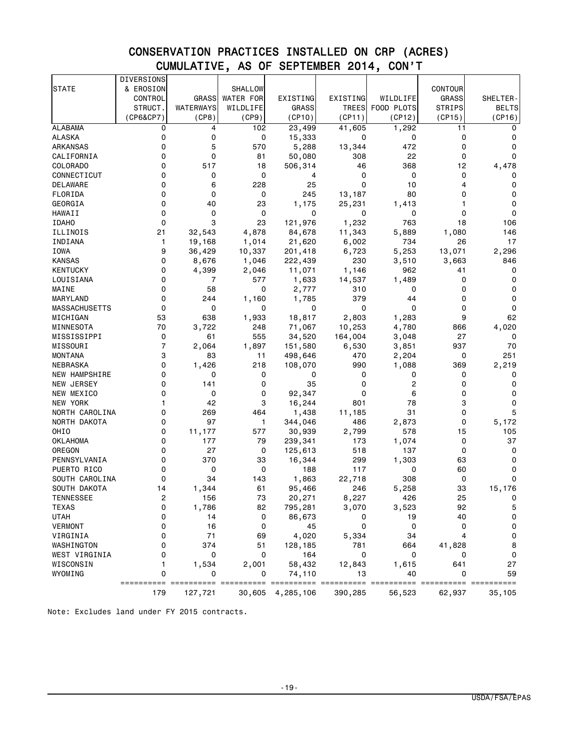# CONSERVATION PRACTICES INSTALLED ON CRP (ACRES) CUMULATIVE, AS OF SEPTEMBER 2014, CON'T

|                      | <b>DIVERSIONS</b> |              |                  |                   |              |              |                |                     |
|----------------------|-------------------|--------------|------------------|-------------------|--------------|--------------|----------------|---------------------|
| <b>STATE</b>         | & EROSION         |              | SHALLOW          |                   |              |              | <b>CONTOUR</b> |                     |
|                      | CONTROL           | <b>GRASS</b> | <b>WATER FOR</b> | EXISTING          | EXISTING     | WILDLIFE     | <b>GRASS</b>   | SHELTER-            |
|                      | STRUCT.           | WATERWAYS    | WILDLIFE         | GRASS             | <b>TREES</b> | FOOD PLOTS   | <b>STRIPS</b>  | <b>BELTS</b>        |
|                      | (CP6&CP7)         | (CP8)        | (CP9)            | (CP10)            | (CP11)       | (CP12)       | (CP15)         | (CP16)              |
| <b>ALABAMA</b>       | 0                 | 4            | 102              | 23,499            | 41,605       | 1,292        | 11             | 0                   |
| ALASKA               | 0                 | 0            | 0                | 15,333            | 0            | 0            | $\mathbf 0$    | 0                   |
| ARKANSAS             | 0                 | 5            | 570              | 5,288             | 13,344       | 472          | 0              | 0                   |
| CALIFORNIA           | 0                 | 0            | 81               | 50,080            | 308          | 22           | 0              | 0                   |
| COLORADO             | 0                 | 517          | 18               | 506,314           | 46           | 368          | 12             | 4,478               |
| CONNECTICUT          | 0                 | 0            | 0                | 4                 | 0            | 0            | 0              | 0                   |
| DELAWARE             | 0                 | 6            | 228              | 25                | 0            | 10           | 4              | 0                   |
| FLORIDA              | 0                 | 0            | 0                | 245               | 13,187       | 80           | 0              | 0                   |
| GEORGIA              | 0                 | 40           | 23               | 1,175             | 25,231       | 1,413        | 1              | 0                   |
| HAWAII               | 0                 | 0            | 0                | 0                 | 0            | 0            | 0              | 0                   |
| <b>IDAHO</b>         | 0                 | 3            | 23               | 121,976           | 1,232        | 763          | 18             | 106                 |
| ILLINOIS             | 21                | 32,543       | 4,878            | 84,678            | 11,343       | 5,889        | 1,080          | 146                 |
| INDIANA              | 1                 | 19,168       | 1,014            | 21,620            | 6,002        | 734          | 26             | 17                  |
| IOWA                 | 9                 | 36,429       | 10,337           | 201,418           | 6,723        | 5,253        | 13,071         | 2,296               |
| <b>KANSAS</b>        | 0                 | 8,676        | 1,046            | 222,439           | 230          | 3,510        | 3,663          | 846                 |
| KENTUCKY             | 0                 | 4,399        | 2,046            | 11,071            | 1,146        | 962          | 41             | 0                   |
| LOUISIANA            | 0                 | 7            | 577              | 1,633             | 14,537       | 1,489        | 0              | 0                   |
| MAINE                | 0                 | 58           | 0                | 2,777             | 310          | 0            | 0              | 0                   |
| MARYLAND             | 0                 | 244          | 1,160            | 1,785             | 379          | 44           | 0              | 0                   |
| <b>MASSACHUSETTS</b> | 0                 | 0            | 0                | 0                 | 0            | 0            | 0              | 0                   |
| MICHIGAN             | 53                | 638          | 1,933            | 18,817            | 2,803        | 1,283        | 9              | 62                  |
| MINNESOTA            | 70                | 3,722        | 248              | 71,067            | 10,253       | 4,780        | 866            | 4,020               |
| MISSISSIPPI          | 0                 | 61           | 555              | 34,520            | 164,004      | 3,048        | 27             | 0                   |
| MISSOURI             | 7                 | 2,064        | 1,897            | 151,580           | 6,530        | 3,851        | 937            | 70                  |
| MONTANA              | 3                 | 83           | 11               | 498,646           | 470          | 2,204        | 0              | 251                 |
| NEBRASKA             | 0                 | 1,426        | 218              | 108,070           | 990          | 1,088        | 369            | 2,219               |
| NEW HAMPSHIRE        | 0                 | 0            | 0                | 0                 | 0            | 0            | 0              | 0                   |
| NEW JERSEY           | 0                 | 141          | 0                | 35                | 0            | 2            | 0              | 0                   |
| NEW MEXICO           | 0                 | 0            | 0                | 92,347            | 0            | 6            | 0              | 0                   |
| NEW YORK             | 1                 | 42           | 3                | 16,244            | 801          | 78<br>31     | 3              | 0                   |
| NORTH CAROLINA       | 0                 | 269          | 464              | 1,438             | 11,185       |              | 0              | 5                   |
| NORTH DAKOTA<br>OHIO | 0<br>0            | 97<br>11,177 | 1                | 344,046           | 486          | 2,873<br>578 | 0<br>15        | 5,172<br>105        |
| <b>OKLAHOMA</b>      | 0                 | 177          | 577<br>79        | 30,939<br>239,341 | 2,799<br>173 | 1,074        | 0              | 37                  |
| OREGON               | 0                 | 27           | 0                | 125,613           | 518          | 137          | 0              | 0                   |
| PENNSYLVANIA         | 0                 | 370          | 33               | 16,344            | 299          | 1,303        | 63             | 0                   |
| PUERTO RICO          | 0                 | 0            | 0                | 188               | 117          | 0            | 60             | 0                   |
| SOUTH CAROLINA       | 0                 | 34           | 143              | 1,863             | 22,718       | 308          | 0              | 0                   |
| SOUTH DAKOTA         | 14                | 1,344        | 61               | 95,466            | 246          | 5,258        | 33             | 15,176              |
| TENNESSEE            | 2                 | 156          | $73\,$           | 20,271            | 8,227        | 426          | 25             | 0                   |
| <b>TEXAS</b>         | 0                 | 1,786        | 82               | 795,281           | 3,070        | 3,523        | 92             | $\mathbf 5$         |
| <b>UTAH</b>          | 0                 | 14           | 0                | 86,673            | 0            | 19           | 40             | 0                   |
| <b>VERMONT</b>       | 0                 | 16           | 0                | 45                | 0            | $\mathsf 0$  | 0              | 0                   |
| VIRGINIA             | 0                 | $71$         | 69               | 4,020             | 5,334        | 34           | 4              | $\mathsf{O}\xspace$ |
| WASHINGTON           | 0                 | 374          | 51               | 128,185           | 781          | 664          | 41,828         | 8                   |
| WEST VIRGINIA        | 0                 | 0            | 0                | 164               | 0            | 0            | 0              | 0                   |
| WISCONSIN            | 1                 | 1,534        | 2,001            | 58,432            | 12,843       | 1,615        | 641            | 27                  |
| WYOMING              | 0                 | 0            | 0                | 74,110            | 13           | 40           | 0              | 59                  |
|                      |                   |              |                  |                   | =======      | ======       | ======         | ======              |
|                      | 179               | 127,721      | 30,605           | 4,285,106         | 390,285      | 56,523       | 62,937         | 35,105              |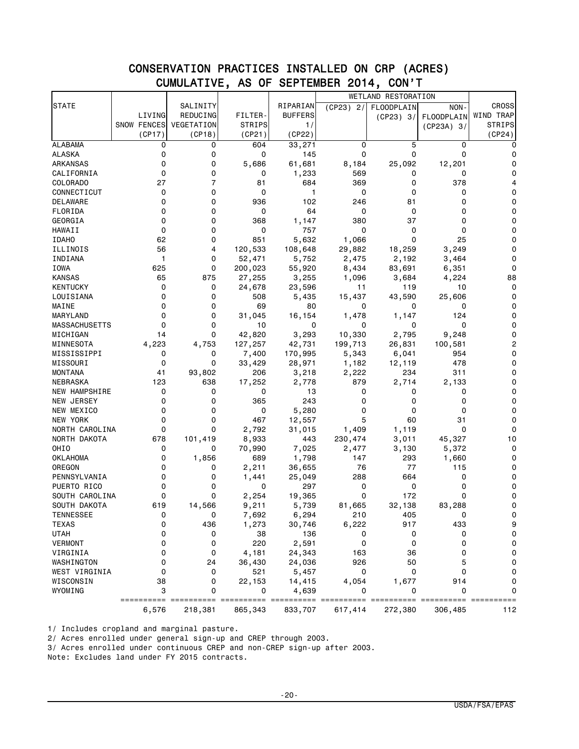## CONSERVATION PRACTICES INSTALLED ON CRP (ACRES) CUMULATIVE, AS OF SEPTEMBER 2014, CON'T

|                      |             |                |               |                |              | <b>WETLAND RESTORATION</b> |                       |                |
|----------------------|-------------|----------------|---------------|----------------|--------------|----------------------------|-----------------------|----------------|
| <b>STATE</b>         |             | SALINITY       |               | RIPARIAN       | $(CP23)$ 2/  | FLOODPLAIN                 | NON-                  | <b>CROSS</b>   |
|                      | LIVING      | REDUCING       | FILTER-       | <b>BUFFERS</b> |              | (CP23) 3/                  | FLOODPLAIN            | WIND TRAP      |
|                      | SNOW FENCES | VEGETATION     | <b>STRIPS</b> | 1/             |              |                            | $(CP23A)$ 3/          | <b>STRIPS</b>  |
|                      | (CP17)      | (CP18)         | (CP21)        | (CP22)         |              |                            |                       | (CP24)         |
| <b>ALABAMA</b>       | 0           | 0              | 604           | 33,271         | 0            | 5                          | 0                     |                |
| <b>ALASKA</b>        | 0           | 0              | 0             | 145            | 0            | 0                          | 0                     | 0              |
| ARKANSAS             | 0           | 0              | 5,686         | 61,681         | 8,184        | 25,092                     | 12,201                | 0              |
| CALIFORNIA           | 0           | 0              | 0             | 1,233          | 569          | 0                          | 0                     | 0              |
| COLORADO             | 27          | $\overline{7}$ | 81            | 684            | 369          | 0                          | 378                   | 4              |
| CONNECTICUT          | 0           | 0              | 0             | $\mathbf{1}$   | 0            | 0                          | 0                     | 0              |
| DELAWARE             | 0           | 0              | 936           | 102            | 246          | 81                         | 0                     | 0              |
| FLORIDA              | 0           | 0              | 0             | 64             | 0            | 0                          | 0                     | 0              |
| GEORGIA              | 0           | 0              | 368           | 1,147          | 380          | 37                         | 0                     | $\Omega$       |
| HAWAII               | 0           | 0              | 0             | 757            | 0            | 0                          | 0                     | 0              |
| <b>IDAHO</b>         | 62          | 0              | 851           | 5,632          | 1,066        | 0                          | 25                    | 0              |
| ILLINOIS             | 56          | 4              | 120,533       | 108,648        | 29,882       | 18,259                     | 3,249                 | $\Omega$       |
| INDIANA              | 1           | 0              | 52,471        | 5,752          | 2,475        | 2,192                      | 3,464                 | 0              |
| IOWA                 | 625         | 0              | 200,023       | 55,920         | 8,434        | 83,691                     | 6,351                 | 0              |
| <b>KANSAS</b>        | 65          | 875            | 27,255        | 3,255          | 1,096        | 3,684                      | 4,224                 | 88             |
| <b>KENTUCKY</b>      | 0           | 0              | 24,678        | 23,596         | 11           | 119                        | 10                    | 0              |
| LOUISIANA            | 0           | 0              | 508           | 5,435          | 15,437       | 43,590                     | 25,606                | 0              |
| MAINE                | $\Omega$    | 0              | 69            | 80             | 0            | 0                          | 0                     | $\Omega$       |
| MARYLAND             | 0           | 0              | 31,045        | 16,154         | 1,478        | 1,147                      | 124                   | 0              |
| <b>MASSACHUSETTS</b> | 0           | 0              | 10            | 0              | 0            | 0                          | 0                     | 0              |
| MICHIGAN             | 14          | 0              | 42,820        | 3,293          | 10,330       | 2,795                      | 9,248                 | $\Omega$       |
| MINNESOTA            | 4,223       | 4,753          | 127,257       | 42,731         | 199,713      | 26,831                     | 100,581               | $\overline{c}$ |
| MISSISSIPPI          | 0           | 0              | 7,400         | 170,995        | 5,343        | 6,041                      | 954                   | 0              |
| MISSOURI             | $\Omega$    | 0              | 33,429        | 28,971         | 1,182        | 12,119                     | 478                   | $\Omega$       |
| <b>MONTANA</b>       | 41          | 93,802         | 206           | 3,218          | 2,222        | 234                        | 311                   | 0              |
| NEBRASKA             | 123         | 638            | 17,252        | 2,778          | 879          | 2,714                      | 2,133                 | 0              |
| <b>NEW HAMPSHIRE</b> | 0           | 0              | 0             | 13             | 0            | 0                          | 0                     | $\Omega$       |
| NEW JERSEY           | 0           | 0              | 365           | 243            | 0            | 0                          | 0                     | 0              |
| NEW MEXICO           | 0           | 0              | 0             | 5,280          | 0            | 0                          | 0                     | 0              |
| NEW YORK             | 0           | 0              | 467           | 12,557         | 5            | 60                         | 31                    | $\Omega$       |
| NORTH CAROLINA       | 0           | 0              | 2,792         | 31,015         | 1,409        | 1,119                      | 0                     | 0              |
| NORTH DAKOTA         | 678         | 101,419        | 8,933         | 443            | 230,474      | 3,011                      | 45,327                | 10             |
| OHIO                 | 0           | 0              | 70,990        | 7,025          |              |                            | 5,372                 | 0              |
| OKLAHOMA             | 0           | 1,856          | 689           | 1,798          | 2,477<br>147 | 3,130<br>293               | 1,660                 | 0              |
| OREGON               | 0           | 0              |               |                | 76           | 77                         | 115                   | 0              |
|                      | 0           |                | 2,211         | 36,655         |              |                            | 0                     | 0              |
| PENNSYLVANIA         | 0           | 0<br>0         | 1,441<br>0    | 25,049<br>297  | 288<br>0     | 664<br>0                   | 0                     | 0              |
| PUERTO RICO          | 0           | 0              |               |                | 0            | 172                        | 0                     | 0              |
| SOUTH CAROLINA       |             |                | 2,254         | 19,365         |              |                            |                       |                |
| SOUTH DAKOTA         | 619         | 14,566         | 9,211         | 5,739          | 81,665       | 32,138                     | 83,288                | 0              |
| TENNESSEE            | 0           | 0              | 7,692         | 6,294          | 210          | 405                        | 0                     | 0              |
| <b>TEXAS</b>         | 0           | 436            | 1,273         | 30,746         | 6,222        | 917                        | 433                   | 9              |
| <b>UTAH</b>          | 0           | 0              | 38            | 136            | 0            | 0                          | 0                     | 0              |
| <b>VERMONT</b>       | 0           | 0              | 220           | 2,591          | 0            | 0                          | 0                     | 0              |
| VIRGINIA             | 0           | 0              | 4,181         | 24,343         | 163          | 36                         | 0                     | 0              |
| WASHINGTON           | 0           | 24             | 36,430        | 24,036         | 926          | 50                         | 5                     | 0              |
| WEST VIRGINIA        | 0           | 0              | 521           | 5,457          | 0            | 0                          | 0                     | $\mathsf 0$    |
| WISCONSIN            | 38          | 0              | 22,153        | 14,415         | 4,054        | 1,677                      | 914                   | 0              |
| WYOMING              | 3           | 0              | 0             | 4,639          | 0            | 0                          | 0                     | 0              |
|                      | ==========  | ===            | ==========    | <b>EDDEDED</b> | === ======   | ====                       | $=$ = = = = = = = = = | ==========     |
|                      | 6,576       | 218,381        | 865,343       | 833,707        | 617,414      | 272,380                    | 306,485               | 112            |

1/ Includes cropland and marginal pasture.

2/ Acres enrolled under general sign-up and CREP through 2003.

3/ Acres enrolled under continuous CREP and non-CREP sign-up after 2003.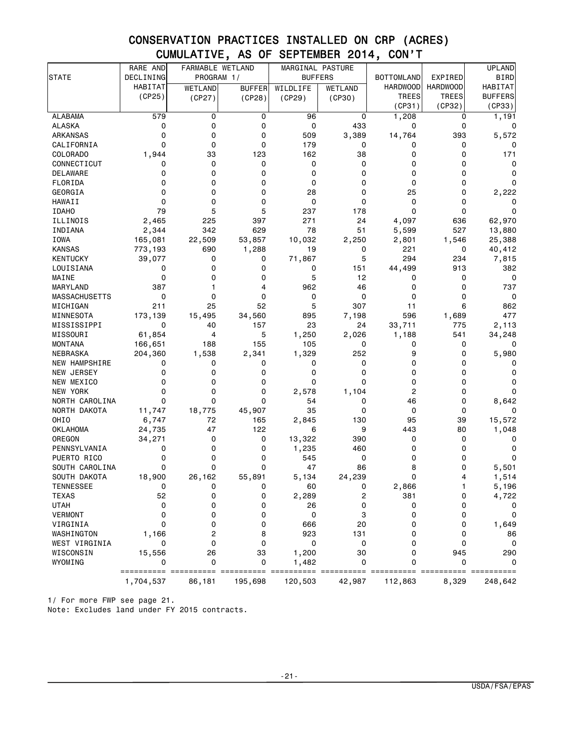# CONSERVATION PRACTICES INSTALLED ON CRP (ACRES) CUMULATIVE, AS OF SEPTEMBER 2014, CON'T

|                           | RARE AND       | FARMABLE WETLAND |               | MARGINAL PASTURE |                |                   |                 | <b>UPLAND</b>  |
|---------------------------|----------------|------------------|---------------|------------------|----------------|-------------------|-----------------|----------------|
| STATE                     | DECLINING      | PROGRAM 1/       |               | <b>BUFFERS</b>   |                | <b>BOTTOMLAND</b> | EXPIRED         | <b>BIRD</b>    |
|                           | <b>HABITAT</b> | <b>WETLAND</b>   | <b>BUFFER</b> | WILDLIFE         | <b>WETLAND</b> | <b>HARDWOOD</b>   | <b>HARDWOOD</b> | HABITAT        |
|                           | (CP25)         | (CP27)           | (CP28)        | (CP29)           | (CP30)         | <b>TREES</b>      | <b>TREES</b>    | <b>BUFFERS</b> |
|                           |                |                  |               |                  |                | (CP31)            | (CP32)          | (CP33)         |
| <b>ALABAMA</b>            | 579            | 0                | 0             | 96               | 0              | 1,208             | 0               | 1,191          |
| ALASKA                    | 0              | 0                | 0             | 0                | 433            | 0                 | 0               | 0              |
| ARKANSAS                  | 0              | 0                | 0             | 509              | 3,389          | 14,764            | 393             | 5,572          |
| CALIFORNIA                | 0              | 0                | 0             | 179              | 0              | 0                 | 0               | 0              |
| COLORADO                  | 1,944          | 33               | 123           | 162              | 38             | 0                 | 0               | 171            |
| CONNECTICUT               | 0              | 0                | 0             | 0                | 0              | 0                 | 0               | 0              |
| DELAWARE                  | 0              | 0                | 0             | 0                | 0              | 0                 | 0               | 0              |
| FLORIDA                   | 0              | 0                | 0             | 0                | 0              | 0                 | 0               | 0              |
| GEORGIA                   | 0              | 0                | 0             | 28               | 0              | 25                | 0               | 2,222          |
| <b>HAWAII</b>             | $\mathbf 0$    | 0                | 0             | 0                | 0              | 0                 | 0               | 0              |
| <b>IDAHO</b>              | 79             | 5                | 5             | 237              | 178            | 0                 | 0               | 0              |
| ILLINOIS                  | 2,465          | 225              | 397           | 271              | 24             | 4,097             | 636             | 62,970         |
| INDIANA                   | 2,344          | 342              | 629           | 78               | 51             | 5,599             | 527             | 13,880         |
| IOWA                      | 165,081        | 22,509           | 53,857        | 10,032           | 2,250          | 2,801             | 1,546           | 25,388         |
| <b>KANSAS</b>             | 773,193        | 690              | 1,288         | 19               | 0              | 221               | 0               | 40,412         |
| <b>KENTUCKY</b>           | 39,077         | 0                | 0             | 71,867           | 5              | 294               | 234             | 7,815          |
| LOUISIANA                 | 0              | 0                | 0             | 0                | 151            | 44,499            | 913             | 382            |
| MAINE                     | 0              | 0                | 0             | 5                | 12             | 0                 | 0               | 0              |
| <b>MARYLAND</b>           | 387            | 1                | 4             | 962              | 46             | 0                 | 0               | 737            |
| <b>MASSACHUSETTS</b>      | $\mathbf 0$    | $\Omega$         | $\Omega$      | 0                | 0              | 0                 | 0               | 0              |
| MICHIGAN                  | 211            | 25               | 52            | 5                | 307            | 11                | 6               | 862            |
| MINNESOTA                 | 173,139        | 15,495           | 34,560        | 895              | 7,198          | 596               | 1,689           | 477            |
| MISSISSIPPI               | $\mathbf 0$    | 40               | 157           | 23               | 24             | 33,711            | 775             | 2,113          |
| MISSOURI                  | 61,854         | 4                | 5             | 1,250            | 2,026          | 1,188             | 541             | 34,248         |
| <b>MONTANA</b>            | 166,651        | 188              | 155           | 105              | 0              | 0                 | 0               | 0              |
| NEBRASKA                  | 204,360        | 1,538            | 2,341         | 1,329            | 252            | 9                 | $\Omega$        | 5,980          |
| NEW HAMPSHIRE             | 0              | 0                | 0             | 0                | 0              | 0                 | 0               | 0              |
| NEW JERSEY                | 0              | 0                | 0             | 0                | 0              | 0                 | 0               | 0              |
| NEW MEXICO                | 0              | 0                | 0             | 0                | 0              | 0                 | 0               | 0              |
| NEW YORK                  | 0              | 0                | 0             | 2,578            | 1,104          | 2                 | 0               | 0              |
| NORTH CAROLINA            | $\mathbf 0$    | $\Omega$         | 0             | 54               | 0              | 46                | 0               | 8,642          |
| NORTH DAKOTA              | 11,747         | 18,775           | 45,907        | 35               | 0              | 0                 | 0               | 0              |
| OHIO                      | 6,747          | 72               | 165           | 2,845            | 130            | 95                | 39              | 15,572         |
| <b>OKLAHOMA</b><br>OREGON | 24,735         | 47               | 122           | 6                | 9<br>390       | 443<br>0          | 80<br>0         | 1,048          |
| PENNSYLVANIA              | 34,271<br>0    | 0<br>0           | 0<br>0        | 13,322<br>1,235  | 460            | 0                 | 0               | 0<br>0         |
| PUERTO RICO               | 0              | 0                | 0             | 545              | 0              | 0                 | 0               | 0              |
| SOUTH CAROLINA            | 0              | 0                | 0             | 47               | 86             | 8                 | 0               | 5,501          |
| SOUTH DAKOTA              | 18,900         | 26,162           | 55,891        | 5,134            | 24,239         | 0                 | 4               | 1,514          |
| <b>TENNESSEE</b>          |                |                  |               | 60               | 0              | 2,866             |                 | 5,196          |
| <b>TEXAS</b>              | 52             | 0                | 0             | 2,289            | 2              | 381               | 0               | 4,722          |
| <b>UTAH</b>               | 0              | 0                | 0             | 26               | 0              | 0                 | 0               | 0              |
| <b>VERMONT</b>            | $\mathbf 0$    | 0                | 0             | 0                | 3              | 0                 | 0               | 0              |
| VIRGINIA                  | 0              | 0                | 0             | 666              | 20             | 0                 | 0               | 1,649          |
| WASHINGTON                | 1,166          | 2                | 8             | 923              | 131            | 0                 | 0               | 86             |
| WEST VIRGINIA             | 0              | 0                | 0             | 0                | 0              | 0                 | 0               | 0              |
| WISCONSIN                 | 15,556         | 26               | 33            | 1,200            | 30             | 0                 | 945             | 290            |
| WYOMING                   | 0              | 0                | 0             | 1,482            | 0              | 0                 | $\Omega$        | 0              |
|                           |                |                  |               |                  |                |                   |                 | ========       |
|                           | 1,704,537      | 86,181           | 195,698       | 120,503          | 42,987         | 112,863           | 8,329           | 248,642        |

1/ For more FWP see page 21.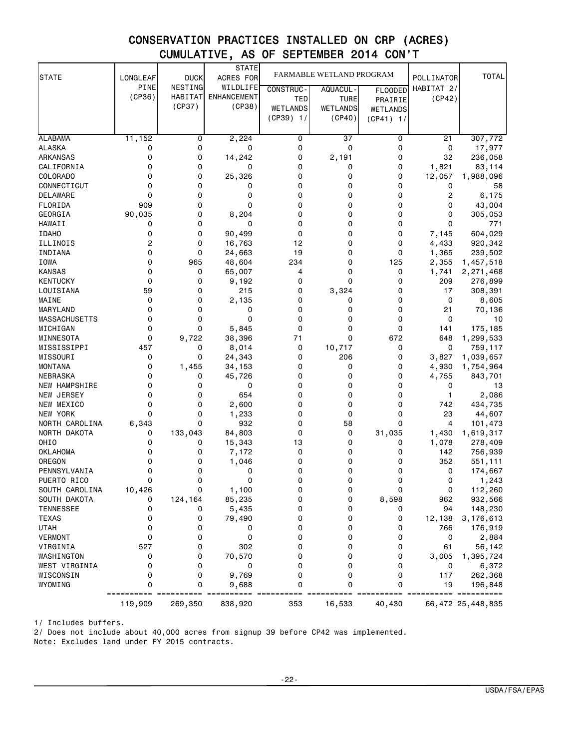# CONSERVATION PRACTICES INSTALLED ON CRP (ACRES) CUMULATIVE, AS OF SEPTEMBER 2014 CON'T

| <b>STATE</b>                     | LONGLEAF | <b>DUCK</b> | STATE<br>ACRES FOR |                  | FARMABLE WETLAND PROGRAM |                 | POLLINATOR     | <b>TOTAL</b>      |
|----------------------------------|----------|-------------|--------------------|------------------|--------------------------|-----------------|----------------|-------------------|
|                                  | PINE     | NESTING     | WILDLIFE           | <b>CONSTRUC-</b> | AQUACUL-                 | <b>FLOODED</b>  | HABITAT 2/     |                   |
|                                  | (CP36)   | HABITAT     | <b>ENHANCEMENT</b> | TED              | <b>TURE</b>              | PRAIRIE         | (CP42)         |                   |
|                                  |          | (CP37)      | (CP38)             | <b>WETLANDS</b>  | <b>WETLANDS</b>          | <b>WETLANDS</b> |                |                   |
|                                  |          |             |                    | $(CP39)$ 1/      | (CP40)                   | $(CP41)$ 1/     |                |                   |
|                                  |          |             |                    |                  |                          |                 |                |                   |
| <b>ALABAMA</b>                   | 11,152   | 0           | 2,224              | 0                | 37                       | 0               | 21             | 307,772           |
| <b>ALASKA</b>                    | 0        | 0           | 0                  | 0                | 0                        | 0               | 0              | 17,977            |
| <b>ARKANSAS</b>                  | 0        | 0           | 14,242             | 0                | 2,191                    | 0               | 32             | 236,058           |
| CALIFORNIA                       | 0        | 0           | 0                  | 0                | 0                        | 0               | 1,821          | 83,114            |
| <b>COLORADO</b>                  | 0        | 0           | 25,326             | 0                | 0                        | 0               | 12,057         | 1,988,096         |
| CONNECTICUT                      | 0        | 0           | 0                  | 0                | 0                        | 0               | 0              | 58                |
| DELAWARE                         | 0        | 0           | 0                  | 0                | 0                        | 0               | $\overline{c}$ | 6,175             |
| FLORIDA                          | 909      | 0           | 0                  | 0                | 0                        | 0               | 0              | 43,004            |
| GEORGIA                          | 90,035   | 0           | 8,204              | 0                | 0                        | 0               | 0              | 305,053           |
| HAWAII                           | 0        | 0           | 0                  | 0                | 0                        | 0               | 0              | 771               |
| <b>IDAHO</b>                     | 0        | 0           | 90,499             | 0                | 0                        | 0               | 7,145          | 604,029           |
| ILLINOIS                         | 2        | 0           | 16,763             | 12               | 0                        | 0               | 4,433          | 920,342           |
| INDIANA                          | 0        | 0           | 24,663             | 19               | 0                        | 0               | 1,365          | 239,502           |
| <b>IOWA</b>                      | 0        | 965         | 48,604             | 234              | 0                        | 125             | 2,355          | 1,457,518         |
| <b>KANSAS</b>                    | 0        | 0           | 65,007             | 4                | 0                        | 0               | 1,741          | 2,271,468         |
| <b>KENTUCKY</b>                  | 0        | 0           | 9,192              | 0                | 0                        | 0               | 209            | 276,899           |
| LOUISIANA                        | 59       | 0           | 215                | 0                | 3,324                    | 0               | 17             | 308,391           |
| MAINE                            | 0        | 0           | 2,135              | 0                | 0                        | 0               | 0              | 8,605             |
| MARYLAND                         | 0        | 0           | 0                  | 0                | 0                        | 0               | 21             | 70,136            |
| MASSACHUSETTS                    | 0        | 0           | 0                  | 0                | 0                        | 0               | 0              | 10                |
| MICHIGAN                         | 0        | 0           | 5,845              | 0                | 0                        | 0               | 141            | 175,185           |
| MINNESOTA                        | 0        | 9,722       | 38,396             | 71               | 0                        | 672             | 648            | 1,299,533         |
| MISSISSIPPI                      | 457      | 0           | 8,014              | 0                | 10,717                   | 0               | 0              | 759,117           |
| MISSOURI                         | 0        | 0           | 24,343             | 0                | 206                      | 0               | 3,827          | 1,039,657         |
| <b>MONTANA</b>                   | 0        | 1,455       | 34,153             | 0                | 0                        | 0               | 4,930          | 1,754,964         |
| NEBRASKA<br><b>NEW HAMPSHIRE</b> | 0<br>0   | 0<br>0      | 45,726<br>0        | 0<br>0           | 0<br>0                   | 0<br>0          | 4,755<br>0     | 843,701<br>13     |
| NEW JERSEY                       | 0        | 0           | 654                | 0                | 0                        | 0               | $\mathbf{1}$   | 2,086             |
| NEW MEXICO                       | 0        | 0           | 2,600              | 0                | 0                        | 0               | 742            | 434,735           |
| NEW YORK                         | 0        | 0           | 1,233              | 0                | 0                        | 0               | 23             | 44,607            |
| NORTH CAROLINA                   | 6,343    | 0           | 932                | 0                | 58                       | 0               | 4              | 101,473           |
| NORTH DAKOTA                     | 0        | 133,043     | 84,803             | 0                | 0                        | 31,035          | 1,430          | 1,619,317         |
| OHIO                             | 0        | 0           | 15,343             | 13               | 0                        | 0               | 1,078          | 278,409           |
| <b>OKLAHOMA</b>                  | 0        | 0           | 7,172              | 0                | 0                        | 0               | 142            | 756,939           |
| OREGON                           | 0        | 0           | 1,046              | 0                | 0                        | 0               | 352            | 551,111           |
| PENNSYLVANIA                     | 0        | 0           | 0                  | 0                | 0                        | 0               | 0              | 174,667           |
| PUERTO RICO                      | 0        | 0           | 0                  | 0                | 0                        | 0               | 0              | 1,243             |
| SOUTH CAROLINA                   | 10,426   | 0           | 1,100              | 0                | 0                        | 0               | 0              | 112,260           |
| SOUTH DAKOTA                     | 0        | 124,164     | 85,235             | 0                | 0                        | 8,598           | 962            | 932,566           |
| <b>TENNESSEE</b>                 | 0        | 0           | 5,435              | 0                | 0                        | 0               | 94             | 148,230           |
| <b>TEXAS</b>                     | 0        | 0           | 79,490             | 0                | 0                        | 0               | 12,138         | 3,176,613         |
| <b>UTAH</b>                      | 0        | 0           | 0                  | 0                | 0                        | 0               | 766            | 176,919           |
| <b>VERMONT</b>                   | 0        | 0           | $\mathbf 0$        | 0                | 0                        | 0               | 0              | 2,884             |
| VIRGINIA                         | 527      | 0           | 302                | 0                | 0                        | 0               | 61             | 56,142            |
| WASHINGTON                       | 0        | 0           | 70,570             | 0                | 0                        | 0               | 3,005          | 1,395,724         |
| WEST VIRGINIA                    | 0        | 0           | 0                  | 0                | 0                        | 0               | 0              | 6,372             |
| WISCONSIN                        | 0        | 0           | 9,769              | 0                | 0                        | 0               | 117            | 262,368           |
| WYOMING                          | 0        | 0           | 9,688              | 0                | 0                        | 0               | 19             | 196,848           |
|                                  | 119,909  | 269,350     | 838,920            | 353              | 16,533                   | 40,430          |                | 66,472 25,448,835 |

1/ Includes buffers.

2/ Does not include about 40,000 acres from signup 39 before CP42 was implemented.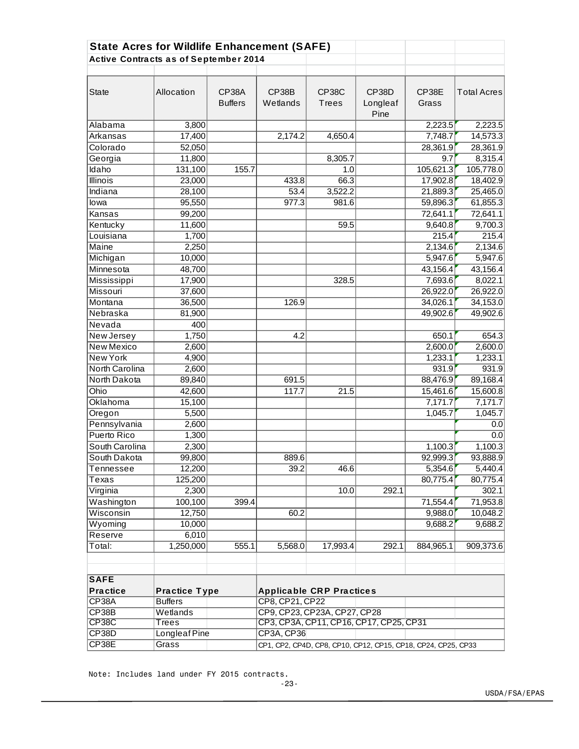| <b>State Acres for Wildlife Enhancement (SAFE)</b><br><b>Active Contracts as of September 2014</b> |                                                                        |                                         |                                 |                       |                           |                |                    |
|----------------------------------------------------------------------------------------------------|------------------------------------------------------------------------|-----------------------------------------|---------------------------------|-----------------------|---------------------------|----------------|--------------------|
| <b>State</b>                                                                                       | Allocation                                                             | <b>CP38A</b><br><b>Buffers</b>          | CP38B<br>Wetlands               | <b>CP38C</b><br>Trees | CP38D<br>Longleaf<br>Pine | CP38E<br>Grass | <b>Total Acres</b> |
| Alabama                                                                                            | 3,800                                                                  |                                         |                                 |                       |                           | 2,223.5        | 2,223.5            |
| Arkansas                                                                                           | 17,400                                                                 |                                         | 2,174.2                         | 4,650.4               |                           | 7,748.7        | 14,573.3           |
| Colorado                                                                                           | 52,050                                                                 |                                         |                                 |                       |                           | 28,361.9       | 28,361.9           |
| Georgia                                                                                            | 11,800                                                                 |                                         |                                 | 8,305.7               |                           | 9.7            | 8,315.4            |
| Idaho                                                                                              | 131,100                                                                | 155.7                                   |                                 | 1.0                   |                           | 105,621.3      | 105,778.0          |
| <b>Illinois</b>                                                                                    | 23,000                                                                 |                                         | 433.8                           | 66.3                  |                           | 17,902.8       | 18,402.9           |
| Indiana                                                                                            | 28,100                                                                 |                                         | 53.4                            | 3,522.2               |                           | 21,889.3       | 25,465.0           |
| lowa                                                                                               | 95,550                                                                 |                                         | 977.3                           | 981.6                 |                           | 59,896.3       | 61,855.3           |
| Kansas                                                                                             | 99,200                                                                 |                                         |                                 |                       |                           | 72,641.1       | 72,641.1           |
| Kentucky                                                                                           | 11,600                                                                 |                                         |                                 | 59.5                  |                           | 9,640.8        | 9,700.3            |
| Louisiana                                                                                          | 1,700                                                                  |                                         |                                 |                       |                           | 215.4          | 215.4              |
| Maine                                                                                              | 2,250                                                                  |                                         |                                 |                       |                           | 2,134.6        | 2,134.6            |
| Michigan                                                                                           | 10,000                                                                 |                                         |                                 |                       |                           | 5,947.6        | 5,947.6            |
| Minnesota                                                                                          | 48,700                                                                 |                                         |                                 |                       |                           | 43,156.4       | 43,156.4           |
| Mississippi                                                                                        | 17,900                                                                 |                                         |                                 | 328.5                 |                           | 7,693.6        | 8,022.1            |
| Missouri                                                                                           | 37,600                                                                 |                                         |                                 |                       |                           | 26,922.0       | 26,922.0           |
| Montana                                                                                            | 36,500                                                                 |                                         | 126.9                           |                       |                           | 34,026.1       | 34,153.0           |
| Nebraska                                                                                           | 81,900                                                                 |                                         |                                 |                       |                           | 49,902.6       | 49,902.6           |
| Nevada                                                                                             | 400                                                                    |                                         |                                 |                       |                           |                |                    |
| New Jersey                                                                                         | 1,750                                                                  |                                         | 4.2                             |                       |                           | 650.1          | 654.3              |
| <b>New Mexico</b>                                                                                  | 2,600                                                                  |                                         |                                 |                       |                           | 2,600.0        | 2,600.0            |
| <b>New York</b>                                                                                    | 4,900                                                                  |                                         |                                 |                       |                           | 1,233.1        | 1,233.1            |
| North Carolina                                                                                     | 2,600                                                                  |                                         |                                 |                       |                           | 931.9          | 931.9              |
| North Dakota                                                                                       | 89,840                                                                 |                                         | 691.5                           |                       |                           | 88,476.9       | 89,168.4           |
| Ohio                                                                                               | 42,600                                                                 |                                         | 117.7                           | 21.5                  |                           | 15,461.6       | 15,600.8           |
| Oklahoma                                                                                           | 15,100                                                                 |                                         |                                 |                       |                           | 7,171.7        | 7,171.7            |
| Oregon                                                                                             | 5,500                                                                  |                                         |                                 |                       |                           | 1,045.7        | 1,045.7            |
| Pennsylvania                                                                                       | 2,600                                                                  |                                         |                                 |                       |                           |                | 0.0                |
| Puerto Rico                                                                                        | 1,300                                                                  |                                         |                                 |                       |                           |                | 0.0                |
| South Carolina                                                                                     | 2,300                                                                  |                                         |                                 |                       |                           | 1,100.3        | 1,100.3            |
| South Dakota                                                                                       | 99,800                                                                 |                                         | 889.6                           |                       |                           | 92,999.3       | 93,888.9           |
| Tennessee                                                                                          | 12,200                                                                 |                                         | 39.2                            | 46.6                  |                           | 5,354.6        | 5,440.4            |
| Texas                                                                                              | 125,200                                                                |                                         |                                 |                       |                           | 80,775.4       | 80,775.4           |
| Virginia                                                                                           | 2,300                                                                  |                                         |                                 | 10.0                  | 292.1                     |                | 302.1              |
| Washington                                                                                         | 100,100                                                                | 399.4                                   |                                 |                       |                           | 71,554.4       | 71,953.8           |
| Wisconsin                                                                                          | 12,750                                                                 |                                         | 60.2                            |                       |                           | 9,988.0        | 10,048.2           |
| Wyoming                                                                                            | 10,000                                                                 |                                         |                                 |                       |                           | 9,688.2        | 9,688.2            |
| Reserve                                                                                            | 6,010                                                                  |                                         |                                 |                       |                           |                |                    |
| Total:                                                                                             | 1,250,000                                                              | 555.1                                   | 5,568.0                         | 17,993.4              | 292.1                     | 884,965.1      | 909,373.6          |
| <b>SAFE</b><br><b>Practice</b>                                                                     | <b>Practice Type</b>                                                   |                                         | <b>Applicable CRP Practices</b> |                       |                           |                |                    |
| CP38A                                                                                              | <b>Buffers</b>                                                         |                                         | CP8, CP21, CP22                 |                       |                           |                |                    |
| CP38B                                                                                              | Wetlands                                                               |                                         | CP9, CP23, CP23A, CP27, CP28    |                       |                           |                |                    |
| CP <sub>38</sub> C                                                                                 | Trees                                                                  | CP3, CP3A, CP11, CP16, CP17, CP25, CP31 |                                 |                       |                           |                |                    |
| CP38D                                                                                              | Longleaf Pine                                                          |                                         | CP3A, CP36                      |                       |                           |                |                    |
| CP38E                                                                                              | Grass<br>CP1, CP2, CP4D, CP8, CP10, CP12, CP15, CP18, CP24, CP25, CP33 |                                         |                                 |                       |                           |                |                    |

Note: Includes land under FY 2015 contracts.

-23-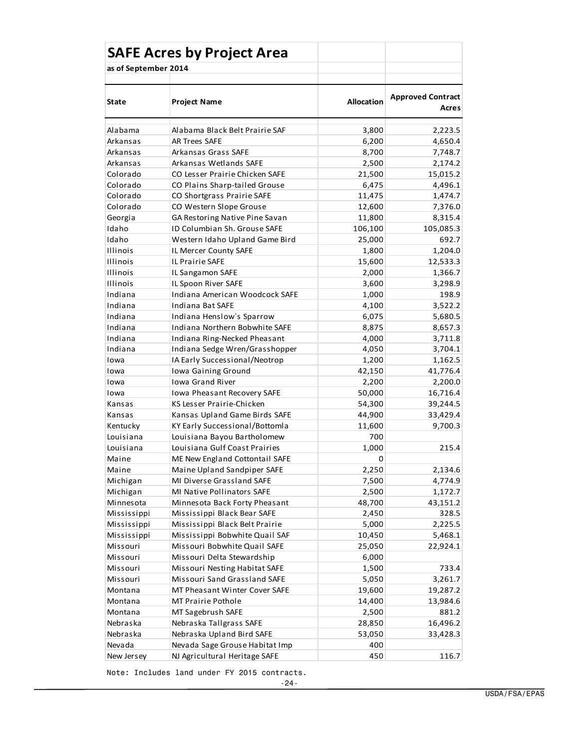| <b>SAFE Acres by Project Area</b> |                                |                   |                                   |
|-----------------------------------|--------------------------------|-------------------|-----------------------------------|
| as of September 2014              |                                |                   |                                   |
|                                   |                                |                   |                                   |
| State                             | <b>Project Name</b>            | <b>Allocation</b> | <b>Approved Contract</b><br>Acres |
| Alabama                           | Alabama Black Belt Prairie SAF | 3,800             | 2,223.5                           |
| Arkansas                          | AR Trees SAFE                  | 6,200             | 4,650.4                           |
| Arkansas                          | Arkansas Grass SAFE            | 8,700             | 7,748.7                           |
| Arkansas                          | Arkansas Wetlands SAFE         | 2,500             | 2,174.2                           |
| Colorado                          | CO Lesser Prairie Chicken SAFE | 21,500            | 15,015.2                          |
| Colorado                          | CO Plains Sharp-tailed Grouse  | 6,475             | 4,496.1                           |
| Colorado                          | CO Shortgrass Prairie SAFE     | 11,475            | 1,474.7                           |
| Colorado                          | CO Western Slope Grouse        | 12,600            | 7,376.0                           |
| Georgia                           | GA Restoring Native Pine Savan | 11,800            | 8,315.4                           |
| Idaho                             | ID Columbian Sh. Grouse SAFE   | 106,100           | 105,085.3                         |
| Idaho                             | Western Idaho Upland Game Bird | 25,000            | 692.7                             |
| <b>Illinois</b>                   | IL Mercer County SAFE          | 1,800             | 1,204.0                           |
| <b>Illinois</b>                   | <b>IL Prairie SAFE</b>         | 15,600            | 12,533.3                          |
| <b>Illinois</b>                   | IL Sangamon SAFE               | 2,000             | 1,366.7                           |
| <b>Illinois</b>                   | IL Spoon River SAFE            | 3,600             | 3,298.9                           |
| Indiana                           | Indiana American Woodcock SAFE | 1,000             | 198.9                             |
| Indiana                           | Indiana Bat SAFE               | 4,100             | 3,522.2                           |
| Indiana                           | Indiana Henslow's Sparrow      | 6,075             | 5,680.5                           |
| Indiana                           | Indiana Northern Bobwhite SAFE | 8,875             | 8,657.3                           |
| Indiana                           | Indiana Ring-Necked Pheasant   | 4,000             | 3,711.8                           |
| Indiana                           | Indiana Sedge Wren/Grasshopper | 4,050             | 3,704.1                           |
| Iowa                              | IA Early Successional/Neotrop  | 1,200             | 1,162.5                           |
| Iowa                              | Iowa Gaining Ground            | 42,150            | 41,776.4                          |
| Iowa                              | <b>Iowa Grand River</b>        | 2,200             | 2,200.0                           |
| Iowa                              | Iowa Pheasant Recovery SAFE    | 50,000            | 16,716.4                          |
| Kansas                            | KS Lesser Prairie-Chicken      | 54,300            | 39,244.5                          |
| Kansas                            | Kansas Upland Game Birds SAFE  | 44,900            | 33,429.4                          |
| Kentucky                          | KY Early Successional/Bottomla | 11,600            | 9,700.3                           |
| Louisiana                         | Louisiana Bayou Bartholomew    | 700               |                                   |
| Louisiana                         | Louisiana Gulf Coast Prairies  | 1,000             | 215.4                             |
| Maine                             | ME New England Cottontail SAFE | 0                 |                                   |
| Maine                             | Maine Upland Sandpiper SAFE    | 2,250             | 2,134.6                           |
| Michigan                          | MI Diverse Grassland SAFE      | 7,500             | 4,774.9                           |
| Michigan                          | MI Native Pollinators SAFE     | 2,500             | 1,172.7                           |
| Minnesota                         | Minnesota Back Forty Pheasant  | 48,700            | 43,151.2                          |
| Mississippi                       | Mississippi Black Bear SAFE    | 2,450             | 328.5                             |
| Mississippi                       | Mississippi Black Belt Prairie | 5,000             | 2,225.5                           |
| Mississippi                       | Mississippi Bobwhite Quail SAF | 10,450            | 5,468.1                           |
| Missouri                          | Missouri Bobwhite Quail SAFE   | 25,050            | 22,924.1                          |
| Missouri                          | Missouri Delta Stewardship     | 6,000             |                                   |
| Missouri                          | Missouri Nesting Habitat SAFE  | 1,500             | 733.4                             |
| Missouri                          | Missouri Sand Grassland SAFE   | 5,050             | 3,261.7                           |
| Montana                           | MT Pheasant Winter Cover SAFE  | 19,600            | 19,287.2                          |
| Montana                           | MT Prairie Pothole             | 14,400            | 13,984.6                          |
| Montana                           | MT Sagebrush SAFE              | 2,500             | 881.2                             |
| Nebraska                          | Nebraska Tallgrass SAFE        | 28,850            | 16,496.2                          |
| Nebraska                          | Nebraska Upland Bird SAFE      | 53,050            | 33,428.3                          |
| Nevada                            | Nevada Sage Grouse Habitat Imp | 400               |                                   |
| New Jersey                        | NJ Agricultural Heritage SAFE  | 450               | 116.7                             |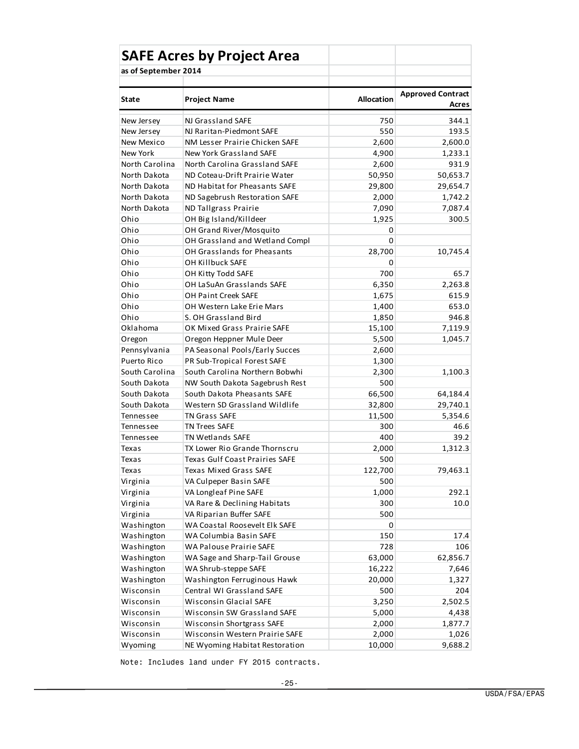|                      | <b>SAFE Acres by Project Area</b>  |                   |                                   |
|----------------------|------------------------------------|-------------------|-----------------------------------|
| as of September 2014 |                                    |                   |                                   |
|                      |                                    |                   |                                   |
| <b>State</b>         | <b>Project Name</b>                | <b>Allocation</b> | <b>Approved Contract</b><br>Acres |
| New Jersey           | NJ Grassland SAFE                  | 750               | 344.1                             |
| New Jersey           | NJ Raritan-Piedmont SAFE           | 550               | 193.5                             |
| New Mexico           | NM Lesser Prairie Chicken SAFE     | 2,600             | 2,600.0                           |
| New York             | New York Grassland SAFE            | 4,900             | 1,233.1                           |
| North Carolina       | North Carolina Grassland SAFE      | 2,600             | 931.9                             |
| North Dakota         | ND Coteau-Drift Prairie Water      | 50,950            | 50,653.7                          |
| North Dakota         | ND Habitat for Pheasants SAFE      | 29,800            | 29,654.7                          |
| North Dakota         | ND Sagebrush Restoration SAFE      | 2,000             | 1,742.2                           |
| North Dakota         | ND Tallgrass Prairie               | 7,090             | 7,087.4                           |
| Ohio                 | OH Big Island/Killdeer             | 1,925             | 300.5                             |
| Ohio                 | OH Grand River/Mosquito            | 0                 |                                   |
| Ohio                 | OH Grassland and Wetland Compl     | 0                 |                                   |
| Ohio                 | <b>OH Grasslands for Pheasants</b> | 28,700            | 10,745.4                          |
| Ohio                 | OH Killbuck SAFE                   | 0                 |                                   |
| Ohio                 | OH Kitty Todd SAFE                 | 700               | 65.7                              |
| Ohio                 | OH LaSuAn Grasslands SAFE          | 6,350             | 2,263.8                           |
| Ohio                 | <b>OH Paint Creek SAFE</b>         | 1,675             | 615.9                             |
| Ohio                 | OH Western Lake Erie Mars          | 1,400             | 653.0                             |
| Ohio                 | S. OH Grassland Bird               | 1,850             | 946.8                             |
| Oklahoma             | OK Mixed Grass Prairie SAFE        | 15,100            | 7,119.9                           |
| Oregon               | Oregon Heppner Mule Deer           | 5,500             | 1,045.7                           |
| Pennsylvania         | PA Seasonal Pools/Early Succes     | 2,600             |                                   |
| Puerto Rico          | PR Sub-Tropical Forest SAFE        | 1,300             |                                   |
| South Carolina       | South Carolina Northern Bobwhi     | 2,300             | 1,100.3                           |
| South Dakota         | NW South Dakota Sagebrush Rest     | 500               |                                   |
| South Dakota         | South Dakota Pheasants SAFE        | 66,500            | 64,184.4                          |
| South Dakota         | Western SD Grassland Wildlife      | 32,800            | 29,740.1                          |
| Tennessee            | <b>TN Grass SAFE</b>               | 11,500            | 5,354.6                           |
| Tennessee            | <b>TN Trees SAFE</b>               | 300               | 46.6                              |
| Tennessee            | TN Wetlands SAFE                   | 400               | 39.2                              |
| Texas                | TX Lower Rio Grande Thornscru      | 2,000             | 1,312.3                           |
| Texas                | Texas Gulf Coast Prairies SAFE     | 500               |                                   |
| Texas                | Texas Mixed Grass SAFE             | 122,700           | 79,463.1                          |
| Virginia             | VA Culpeper Basin SAFE             | 500               |                                   |
| Virginia             | VA Longleaf Pine SAFE              | 1,000             | 292.1                             |
| Virginia             | VA Rare & Declining Habitats       | 300               | 10.0                              |
| Virginia             | VA Riparian Buffer SAFE            | 500               |                                   |
| Washington           | WA Coastal Roosevelt Elk SAFE      | 0                 |                                   |
| Washington           | WA Columbia Basin SAFE             | 150               | 17.4                              |
| Washington           | WA Palouse Prairie SAFE            | 728               | 106                               |
| Washington           | WA Sage and Sharp-Tail Grouse      | 63,000            | 62,856.7                          |
| Washington           | WA Shrub-steppe SAFE               | 16,222            | 7,646                             |
| Washington           | Washington Ferruginous Hawk        | 20,000            | 1,327                             |
| Wisconsin            | Central WI Grassland SAFE          | 500               | 204                               |
| Wisconsin            | Wisconsin Glacial SAFE             | 3,250             | 2,502.5                           |
| Wisconsin            | Wisconsin SW Grassland SAFE        | 5,000             | 4,438                             |
| Wisconsin            | <b>Wisconsin Shortgrass SAFE</b>   | 2,000             | 1,877.7                           |
| Wisconsin            | Wisconsin Western Prairie SAFE     | 2,000             | 1,026                             |
| Wyoming              | NE Wyoming Habitat Restoration     | 10,000            | 9,688.2                           |

Note: Includes land under FY 2015 contracts.